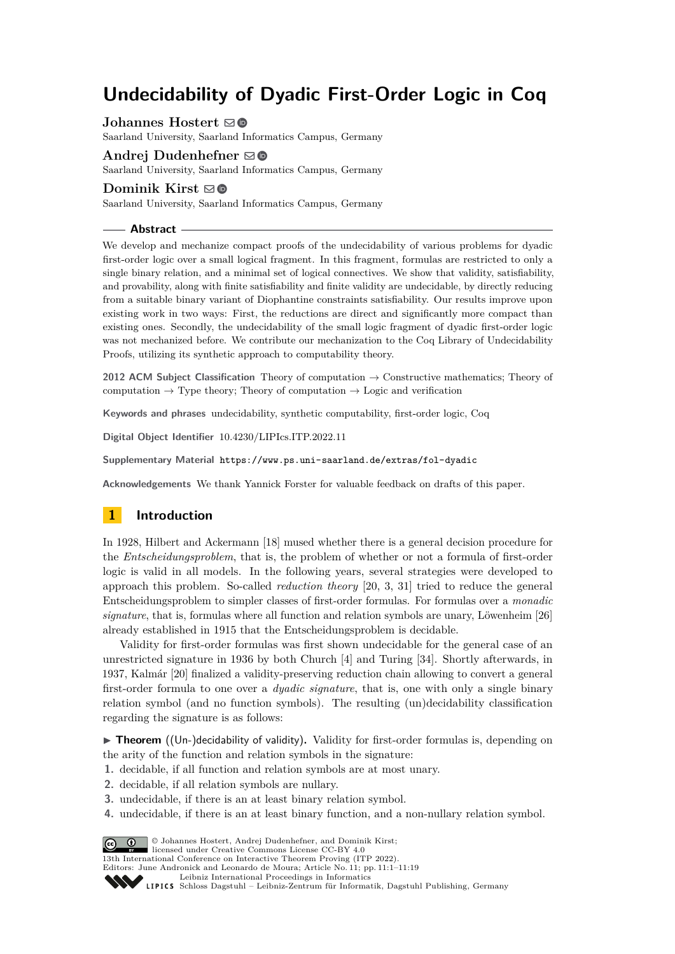# **Undecidability of Dyadic First-Order Logic in Coq**

**Johannes Hostert**  $\boldsymbol{\Xi}$  **.** 

Saarland University, Saarland Informatics Campus, Germany

#### **Andrej Dudenhefner** [!](mailto:andrej.dudenhefner@cs.tu-dortmund.de)

Saarland University, Saarland Informatics Campus, Germany

## **Dominik Kirst** ⊠**®**

Saarland University, Saarland Informatics Campus, Germany

## **Abstract**

We develop and mechanize compact proofs of the undecidability of various problems for dyadic first-order logic over a small logical fragment. In this fragment, formulas are restricted to only a single binary relation, and a minimal set of logical connectives. We show that validity, satisfiability, and provability, along with finite satisfiability and finite validity are undecidable, by directly reducing from a suitable binary variant of Diophantine constraints satisfiability. Our results improve upon existing work in two ways: First, the reductions are direct and significantly more compact than existing ones. Secondly, the undecidability of the small logic fragment of dyadic first-order logic was not mechanized before. We contribute our mechanization to the Coq Library of Undecidability Proofs, utilizing its synthetic approach to computability theory.

**2012 ACM Subject Classification** Theory of computation → Constructive mathematics; Theory of computation  $\rightarrow$  Type theory; Theory of computation  $\rightarrow$  Logic and verification

**Keywords and phrases** undecidability, synthetic computability, first-order logic, Coq

**Digital Object Identifier** [10.4230/LIPIcs.ITP.2022.11](https://doi.org/10.4230/LIPIcs.ITP.2022.11)

**Supplementary Material** <https://www.ps.uni-saarland.de/extras/fol-dyadic>

**Acknowledgements** We thank Yannick Forster for valuable feedback on drafts of this paper.

# **1 Introduction**

In 1928, Hilbert and Ackermann [\[18\]](#page-18-0) mused whether there is a general decision procedure for the *Entscheidungsproblem*, that is, the problem of whether or not a formula of first-order logic is valid in all models. In the following years, several strategies were developed to approach this problem. So-called *reduction theory* [\[20,](#page-18-1) [3,](#page-17-0) [31\]](#page-18-2) tried to reduce the general Entscheidungsproblem to simpler classes of first-order formulas. For formulas over a *monadic signature*, that is, formulas where all function and relation symbols are unary, Löwenheim [\[26\]](#page-18-3) already established in 1915 that the Entscheidungsproblem is decidable.

Validity for first-order formulas was first shown undecidable for the general case of an unrestricted signature in 1936 by both Church [\[4\]](#page-17-1) and Turing [\[34\]](#page-18-4). Shortly afterwards, in 1937, Kalmár [\[20\]](#page-18-1) finalized a validity-preserving reduction chain allowing to convert a general first-order formula to one over a *dyadic signature*, that is, one with only a single binary relation symbol (and no function symbols). The resulting (un)decidability classification regarding the signature is as follows:

▶ **Theorem** ((Un-)decidability of validity). Validity for first-order formulas is, depending on the arity of the function and relation symbols in the signature:

- **1.** decidable, if all function and relation symbols are at most unary.
- **2.** decidable, if all relation symbols are nullary.
- **3.** undecidable, if there is an at least binary relation symbol.
- **4.** undecidable, if there is an at least binary function, and a non-nullary relation symbol.

© Johannes Hostert, Andrej Dudenhefner, and Dominik Kirst; licensed under Creative Commons License CC-BY 4.0

13th International Conference on Interactive Theorem Proving (ITP 2022).

Editors: June Andronick and Leonardo de Moura; Article No. 11; pp. 11:1–11:19

[Leibniz International Proceedings in Informatics](https://www.dagstuhl.de/lipics/)

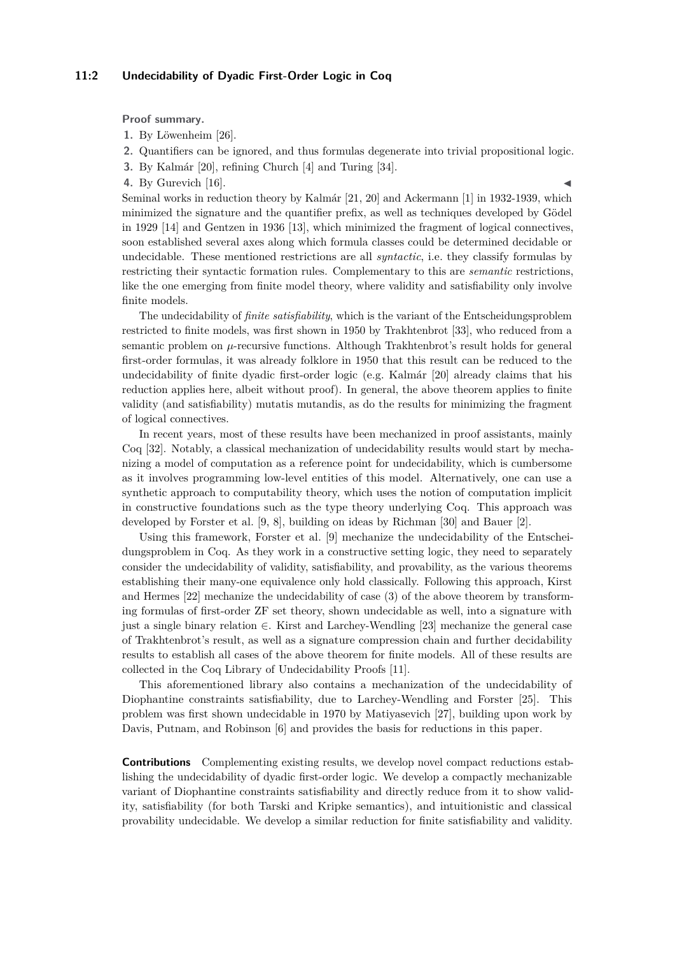## **11:2 Undecidability of Dyadic First-Order Logic in Coq**

**Proof summary.**

**1.** By Löwenheim [\[26\]](#page-18-3).

- **2.** Quantifiers can be ignored, and thus formulas degenerate into trivial propositional logic.
- **3.** By Kalmár [\[20\]](#page-18-1), refining Church [\[4\]](#page-17-1) and Turing [\[34\]](#page-18-4).
- **4.** By Gurevich [\[16\]](#page-18-5).

Seminal works in reduction theory by Kalmár [\[21,](#page-18-6) [20\]](#page-18-1) and Ackermann [\[1\]](#page-17-2) in 1932-1939, which minimized the signature and the quantifier prefix, as well as techniques developed by Gödel in 1929 [\[14\]](#page-17-3) and Gentzen in 1936 [\[13\]](#page-17-4), which minimized the fragment of logical connectives, soon established several axes along which formula classes could be determined decidable or undecidable. These mentioned restrictions are all *syntactic*, i.e. they classify formulas by restricting their syntactic formation rules. Complementary to this are *semantic* restrictions, like the one emerging from finite model theory, where validity and satisfiability only involve finite models.

The undecidability of *finite satisfiability*, which is the variant of the Entscheidungsproblem restricted to finite models, was first shown in 1950 by Trakhtenbrot [\[33\]](#page-18-7), who reduced from a semantic problem on *µ*-recursive functions. Although Trakhtenbrot's result holds for general first-order formulas, it was already folklore in 1950 that this result can be reduced to the undecidability of finite dyadic first-order logic (e.g. Kalmár [\[20\]](#page-18-1) already claims that his reduction applies here, albeit without proof). In general, the above theorem applies to finite validity (and satisfiability) mutatis mutandis, as do the results for minimizing the fragment of logical connectives.

In recent years, most of these results have been mechanized in proof assistants, mainly Coq [\[32\]](#page-18-8). Notably, a classical mechanization of undecidability results would start by mechanizing a model of computation as a reference point for undecidability, which is cumbersome as it involves programming low-level entities of this model. Alternatively, one can use a synthetic approach to computability theory, which uses the notion of computation implicit in constructive foundations such as the type theory underlying Coq. This approach was developed by Forster et al. [\[9,](#page-17-5) [8\]](#page-17-6), building on ideas by Richman [\[30\]](#page-18-9) and Bauer [\[2\]](#page-17-7).

Using this framework, Forster et al. [\[9\]](#page-17-5) mechanize the undecidability of the Entscheidungsproblem in Coq. As they work in a constructive setting logic, they need to separately consider the undecidability of validity, satisfiability, and provability, as the various theorems establishing their many-one equivalence only hold classically. Following this approach, Kirst and Hermes [\[22\]](#page-18-10) mechanize the undecidability of case (3) of the above theorem by transforming formulas of first-order ZF set theory, shown undecidable as well, into a signature with just a single binary relation ∈. Kirst and Larchey-Wendling [\[23\]](#page-18-11) mechanize the general case of Trakhtenbrot's result, as well as a signature compression chain and further decidability results to establish all cases of the above theorem for finite models. All of these results are collected in the Coq Library of Undecidability Proofs [\[11\]](#page-17-8).

This aforementioned library also contains a mechanization of the undecidability of Diophantine constraints satisfiability, due to Larchey-Wendling and Forster [\[25\]](#page-18-12). This problem was first shown undecidable in 1970 by Matiyasevich [\[27\]](#page-18-13), building upon work by Davis, Putnam, and Robinson [\[6\]](#page-17-9) and provides the basis for reductions in this paper.

**Contributions** Complementing existing results, we develop novel compact reductions establishing the undecidability of dyadic first-order logic. We develop a compactly mechanizable variant of Diophantine constraints satisfiability and directly reduce from it to show validity, satisfiability (for both Tarski and Kripke semantics), and intuitionistic and classical provability undecidable. We develop a similar reduction for finite satisfiability and validity.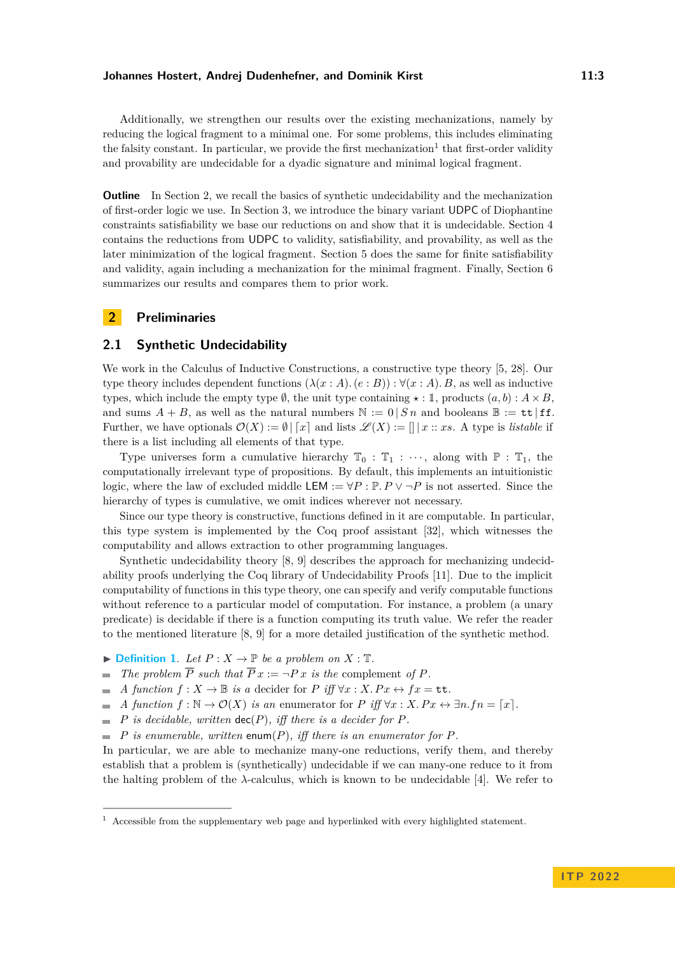Additionally, we strengthen our results over the existing mechanizations, namely by reducing the logical fragment to a minimal one. For some problems, this includes eliminating the falsity constant. In particular, we provide the first mechanization<sup>[1](#page-2-0)</sup> that first-order validity and provability are undecidable for a dyadic signature and minimal logical fragment.

**Outline** In Section [2,](#page-2-1) we recall the basics of synthetic undecidability and the mechanization of first-order logic we use. In Section [3,](#page-4-0) we introduce the binary variant UDPC of Diophantine constraints satisfiability we base our reductions on and show that it is undecidable. Section [4](#page-5-0) contains the reductions from UDPC to validity, satisfiability, and provability, as well as the later minimization of the logical fragment. Section [5](#page-11-0) does the same for finite satisfiability and validity, again including a mechanization for the minimal fragment. Finally, Section [6](#page-15-0) summarizes our results and compares them to prior work.

# <span id="page-2-1"></span>**2 Preliminaries**

# **2.1 Synthetic Undecidability**

We work in the Calculus of Inductive Constructions, a constructive type theory [\[5,](#page-17-10) [28\]](#page-18-14). Our type theory includes dependent functions  $(\lambda(x:A), (e:B)) : \forall (x:A), B$ , as well as inductive types, which include the empty type  $\emptyset$ , the unit type containing  $\star : \mathbb{I}$ , products  $(a, b) : A \times B$ , and sums  $A + B$ , as well as the natural numbers  $\mathbb{N} := 0 \mid S_n$  and booleans  $\mathbb{B} := \mathbf{tt} \mid \mathbf{ff}$ . Further, we have optionals  $\mathcal{O}(X) := \emptyset | [x]$  and lists  $\mathcal{L}(X) := ||x| : x$ . A type is *listable* if there is a list including all elements of that type.

Type universes form a cumulative hierarchy  $\mathbb{T}_0 : \mathbb{T}_1 : \cdots$ , along with  $\mathbb{P} : \mathbb{T}_1$ , the computationally irrelevant type of propositions. By default, this implements an intuitionistic logic, where the law of excluded middle LEM :=  $\forall P : P \lor \neg P$  is not asserted. Since the hierarchy of types is cumulative, we omit indices wherever not necessary.

Since our type theory is constructive, functions defined in it are computable. In particular, this type system is implemented by the Coq proof assistant [\[32\]](#page-18-8), which witnesses the computability and allows extraction to other programming languages.

Synthetic undecidability theory [\[8,](#page-17-6) [9\]](#page-17-5) describes the approach for mechanizing undecidability proofs underlying the Coq library of Undecidability Proofs [\[11\]](#page-17-8). Due to the implicit computability of functions in this type theory, one can specify and verify computable functions without reference to a particular model of computation. For instance, a problem (a unary predicate) is decidable if there is a function computing its truth value. We refer the reader to the mentioned literature [\[8,](#page-17-6) [9\]](#page-17-5) for a more detailed justification of the synthetic method.

- $\blacktriangleright$  **[Definition 1](https://www.ps.uni-saarland.de/extras/fol-dyadic/website/Undecidability.Synthetic.Definitions.html#complement)**. Let  $P: X \to \mathbb{P}$  be a problem on  $X: \mathbb{T}$ .
- *The problem*  $\overline{P}$  *such that*  $\overline{P} x := \neg P x$  *is the complement of*  $P$ *.*  $\overline{\phantom{a}}$
- *A function*  $f: X \to \mathbb{B}$  *is a* decider for *P iff*  $\forall x: X.Px \leftrightarrow fx = \mathsf{tt}$ .  $\equiv$
- *A function*  $f : \mathbb{N} \to \mathcal{O}(X)$  *is an* enumerator for *P iff*  $\forall x : X. Px \leftrightarrow \exists n.fn = [x]$ .  $\blacksquare$
- *P is decidable, written* dec(*P*)*, iff there is a decider for P.*  $\mathcal{L}_{\mathcal{A}}$
- *P is enumerable, written* enum(*P*)*, iff there is an enumerator for P.*  $\sim$

In particular, we are able to mechanize many-one reductions, verify them, and thereby establish that a problem is (synthetically) undecidable if we can many-one reduce to it from the halting problem of the  $\lambda$ -calculus, which is known to be undecidable [\[4\]](#page-17-1). We refer to

<span id="page-2-0"></span> $1$  Accessible from the supplementary web page and hyperlinked with every highlighted statement.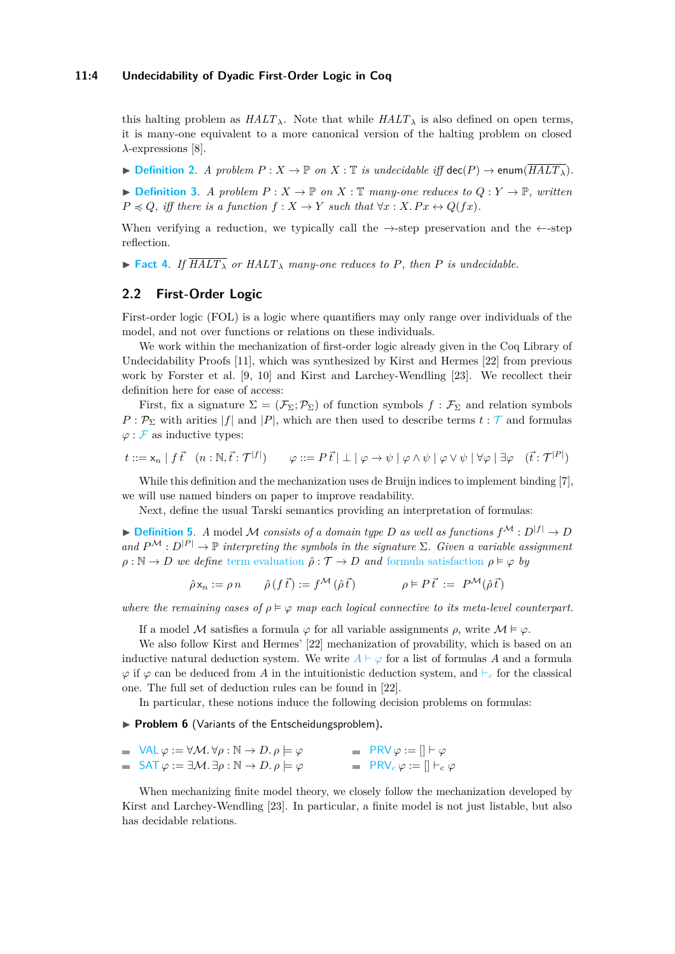#### **11:4 Undecidability of Dyadic First-Order Logic in Coq**

this halting problem as  $HALT_\lambda$ . Note that while  $HALT_\lambda$  is also defined on open terms, it is many-one equivalent to a more canonical version of the halting problem on closed *λ*-expressions [\[8\]](#page-17-6).

▶ **[Definition 2](https://www.ps.uni-saarland.de/extras/fol-dyadic/website/Undecidability.Synthetic.Undecidability.html#undecidable).** *A problem*  $P: X \to \mathbb{P}$  *on*  $X: \mathbb{T}$  *is undecidable iff*  $\text{dec}(P) \to \text{enum}(\overline{HALT_A})$ *.* 

 $\blacktriangleright$  **[Definition 3](https://www.ps.uni-saarland.de/extras/fol-dyadic/website/Undecidability.Synthetic.Definitions.html#reduces)**. *A problem*  $P: X \to \mathbb{P}$  *on*  $X: \mathbb{T}$  *many-one reduces to*  $Q: Y \to \mathbb{P}$ *, written*  $P \preceq Q$ *, iff there is a function*  $f : X \to Y$  *such that*  $\forall x : X.Px \leftrightarrow Q(fx)$ *.* 

When verifying a reduction, we typically call the  $\rightarrow$ -step preservation and the  $\leftarrow$ -step reflection.

 $\triangleright$  **[Fact 4](https://www.ps.uni-saarland.de/extras/fol-dyadic/website/Undecidability.Synthetic.Undecidability.html#undecidability_from_reducibility)**. If  $\overline{HALT_{\lambda}}$  or  $HALT_{\lambda}$  many-one reduces to P, then P is undecidable.

# **2.2 First-Order Logic**

First-order logic (FOL) is a logic where quantifiers may only range over individuals of the model, and not over functions or relations on these individuals.

We work within the mechanization of first-order logic already given in the Coq Library of Undecidability Proofs [\[11\]](#page-17-8), which was synthesized by Kirst and Hermes [\[22\]](#page-18-10) from previous work by Forster et al. [\[9,](#page-17-5) [10\]](#page-17-11) and Kirst and Larchey-Wendling [\[23\]](#page-18-11). We recollect their definition here for ease of access:

First, fix a signature  $\Sigma = (\mathcal{F}_{\Sigma}; \mathcal{P}_{\Sigma})$  of function symbols  $f : \mathcal{F}_{\Sigma}$  and relation symbols  $P: \mathcal{P}_{\Sigma}$  with arities |*f*| and |*P*|, which are then used to describe terms  $t: \mathcal{T}$  $t: \mathcal{T}$  $t: \mathcal{T}$  and formulas  $\varphi$  :  $\mathcal F$  $\mathcal F$  as inductive types:

$$
t ::= \mathsf{x}_n \mid f \, \vec{t} \quad (n : \mathbb{N}, \vec{t} : \mathcal{T}^{|f|}) \qquad \varphi ::= P \, \vec{t} \mid \bot \mid \varphi \to \psi \mid \varphi \land \psi \mid \varphi \lor \psi \mid \forall \varphi \mid \exists \varphi \quad (\vec{t} : \mathcal{T}^{|P|})
$$

While this definition and the mechanization uses de Bruijn indices to implement binding [\[7\]](#page-17-12), we will use named binders on paper to improve readability.

Next, define the usual Tarski semantics providing an interpretation of formulas:

 $\blacktriangleright$  **[Definition 5](https://www.ps.uni-saarland.de/extras/fol-dyadic/website/Undecidability.FOL.Util.FullTarski.html#interp)**. *A* model *M consists of a domain type D as well as functions*  $f^{\mathcal{M}} : D^{|f|} \to D$ *and*  $P^{\mathcal{M}} : D^{|\mathcal{P}|} \to \mathbb{P}$  *interpreting the symbols in the signature*  $\Sigma$ *. Given a variable assignment*  $\rho : \mathbb{N} \to D$  *we define* [term evaluation](https://www.ps.uni-saarland.de/extras/fol-dyadic/website/Undecidability.FOL.Util.FullTarski.html#eval)  $\hat{\rho} : \mathcal{T} \to D$  *and* [formula satisfaction](https://www.ps.uni-saarland.de/extras/fol-dyadic/website/Undecidability.FOL.Util.FullTarski.html#sat)  $\rho \models \varphi$  *by* 

$$
\hat{\rho} \mathsf{x}_n := \rho \, n \qquad \hat{\rho} \left( f \, \vec{t} \right) := f^{\mathcal{M}} \left( \hat{\rho} \, \vec{t} \right) \qquad \qquad \rho \vDash P \, \vec{t} := P^{\mathcal{M}}(\hat{\rho} \, \vec{t})
$$

*where the remaining cases of*  $\rho \models \varphi$  *map each logical connective to its meta-level counterpart.* 

If a model M satisfies a formula  $\varphi$  for all variable assignments  $\rho$ , write  $\mathcal{M} \models \varphi$ .

We also follow Kirst and Hermes' [\[22\]](#page-18-10) mechanization of provability, which is based on an inductive natural deduction system. We write  $A \vdash \varphi$  $A \vdash \varphi$  for a list of formulas A and a formula  $\varphi$  if  $\varphi$  can be deduced from *A* in the intuitionistic deduction system, and  $\vdash_c$  for the classical one. The full set of deduction rules can be found in [\[22\]](#page-18-10).

In particular, these notions induce the following decision problems on formulas:

# ▶ **Problem 6** (Variants of the Entscheidungsproblem)**.**

| $\blacksquare$ VAL $\varphi := \forall \mathcal{M} \ldotp \forall \rho : \mathbb{N} \to D \ldotp \rho \models \varphi$ | $\blacksquare$ PRV $\varphi := [] \vdash \varphi$                |
|------------------------------------------------------------------------------------------------------------------------|------------------------------------------------------------------|
| $\blacksquare$ SAT $\varphi := \exists \mathcal{M} \ldotp \exists \rho : \mathbb{N} \to D \ldotp \rho \models \varphi$ | $\blacksquare$ PRV <sub>c</sub> $\varphi := [] \vdash_c \varphi$ |

When mechanizing finite model theory, we closely follow the mechanization developed by Kirst and Larchey-Wendling [\[23\]](#page-18-11). In particular, a finite model is not just listable, but also has decidable relations.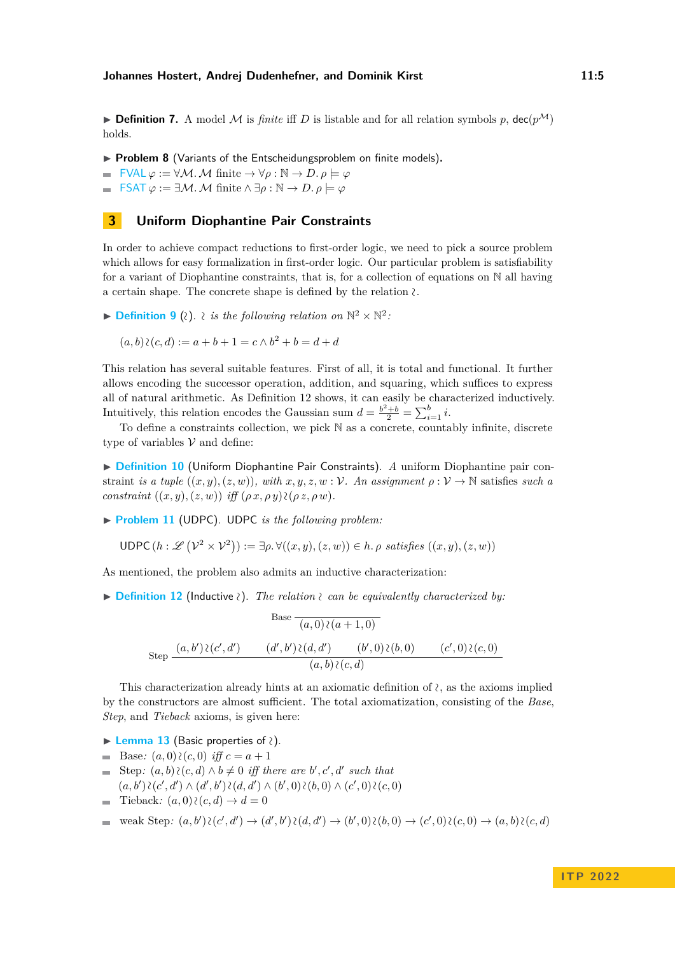**• Definition 7.** A model M is *finite* iff *D* is listable and for all relation symbols *p*, dec( $p^{\mathcal{M}}$ ) holds.

- ▶ **Problem 8** (Variants of the Entscheidungsproblem on finite models).
- $\blacksquare$  [FVAL](https://www.ps.uni-saarland.de/extras/fol-dyadic/website/Undecidability.FOL.minFOL_undec.html#FVAL_frag) *φ* := ∀*M*. *M* finite  $\rightarrow$  ∀*ρ* : N  $\rightarrow$  *D*. *ρ*  $\models$  *φ*
- $\mathsf{FSAT}\varphi := \exists \mathcal{M} \ldotp \mathcal{M} \text{ finite } \land \exists \rho : \mathbb{N} \to D \ldotp \rho \models \varphi$  $\mathsf{FSAT}\varphi := \exists \mathcal{M} \ldotp \mathcal{M} \text{ finite } \land \exists \rho : \mathbb{N} \to D \ldotp \rho \models \varphi$  $\mathsf{FSAT}\varphi := \exists \mathcal{M} \ldotp \mathcal{M} \text{ finite } \land \exists \rho : \mathbb{N} \to D \ldotp \rho \models \varphi$

# <span id="page-4-0"></span>**3 Uniform Diophantine Pair Constraints**

In order to achieve compact reductions to first-order logic, we need to pick a source problem which allows for easy formalization in first-order logic. Our particular problem is satisfiability for a variant of Diophantine constraints, that is, for a collection of equations on  $\mathbb N$  all having a certain shape. The concrete shape is defined by the relation <sup>∼</sup>.

<span id="page-4-3"></span>**▶ [Definition 9](https://www.ps.uni-saarland.de/extras/fol-dyadic/website/Undecidability.DiophantineConstraints.H10C.html#h10upc_sem_direct)** (2).  $\lambda$  *is the following relation on*  $\mathbb{N}^2 \times \mathbb{N}^2$ .

$$
(a, b) \wr (c, d) := a + b + 1 = c \land b^2 + b = d + d
$$

This relation has several suitable features. First of all, it is total and functional. It further allows encoding the successor operation, addition, and squaring, which suffices to express all of natural arithmetic. As Definition [12](#page-4-1) shows, it can easily be characterized inductively. Intuitively, this relation encodes the Gaussian sum  $d = \frac{b^2 + b}{2} = \sum_{i=1}^{b} i$ .

To define a constraints collection, we pick N as a concrete, countably infinite, discrete type of variables  $V$  and define:

▶ **[Definition 10](https://www.ps.uni-saarland.de/extras/fol-dyadic/website/Undecidability.DiophantineConstraints.H10C.html#h10upc)** (Uniform Diophantine Pair Constraints). *A* uniform Diophantine pair constraint *is a tuple*  $((x, y), (z, w))$ *, with*  $x, y, z, w : V$ *. An assignment*  $\rho : V \to \mathbb{N}$  satisfies *such a*  $constraint ((x, y), (z, w)) iff (\rho x, \rho y) \wr (\rho z, \rho w).$ 

▶ **[Problem 11](https://www.ps.uni-saarland.de/extras/fol-dyadic/website/Undecidability.DiophantineConstraints.H10C.html#H10UPC_SAT)** (UDPC). UDPC *is the following problem:*

 $\text{UDPC}(h : \mathscr{L}(\mathcal{V}^2 \times \mathcal{V}^2)) := \exists \rho. \forall ((x, y), (z, w)) \in h. \rho \text{ satisfies } ((x, y), (z, w))$ 

<span id="page-4-1"></span>As mentioned, the problem also admits an inductive characterization:

▶ **[Definition 12](https://www.ps.uni-saarland.de/extras/fol-dyadic/website/Undecidability.DiophantineConstraints.Util.H10UPC_facts.html#h10upc_ind)** (Inductive ).<sup>∼</sup> *The relation* <sup>∼</sup>*can be equivalently characterized by:*

$$
\text{Base } \frac{(a,0)\lambda(a+1,0)}{(a,0)\lambda(a+1,0)}
$$
\n
$$
\text{Step } \frac{(a,b')\lambda(c',d')}{(d',b')\lambda(d,d')}\frac{(b',0)\lambda(b,0)}{(b,0)\lambda(b,0)}\frac{(c',0)\lambda(c,0)}{(c,0)}
$$

This characterization already hints at an axiomatic definition of <sup>∼</sup>, as the axioms implied by the constructors are almost sufficient. The total axiomatization, consisting of the *Base*, *Step*, and *Tieback* axioms, is given here:

- <span id="page-4-2"></span>▶ **[Lemma 13](https://www.ps.uni-saarland.de/extras/fol-dyadic/website/Undecidability.DiophantineConstraints.Util.H10UPC_facts.html#sat)** (Basic properties of <sup>∼</sup>).
- Base:  $(a, 0)$   $\wr$   $(c, 0)$  *iff*  $c = a + 1$
- Step:  $(a, b) \wr (c, d) \land b \neq 0$  *iff there are b*', *c*', *d*' such that  $\sim$  $(a, b')$   $\wr$   $(c', d')$  ∧  $(d', b')$   $\wr$   $(d, d')$  ∧  $(b', 0)$   $\wr$   $(b, 0)$  ∧  $(c', 0)$   $\wr$   $(c, 0)$
- Tieback:  $(a, 0)$   $\chi(c, d) \rightarrow d = 0$  $\mathcal{L}_{\mathrm{max}}$

$$
= \text{ weak Step: } (a, b') \wr (c', d') \rightarrow (d', b') \wr (d, d') \rightarrow (b', 0) \wr (b, 0) \rightarrow (c', 0) \wr (c, 0) \rightarrow (a, b) \wr (c, d)
$$

## **I T P 2 0 2 2**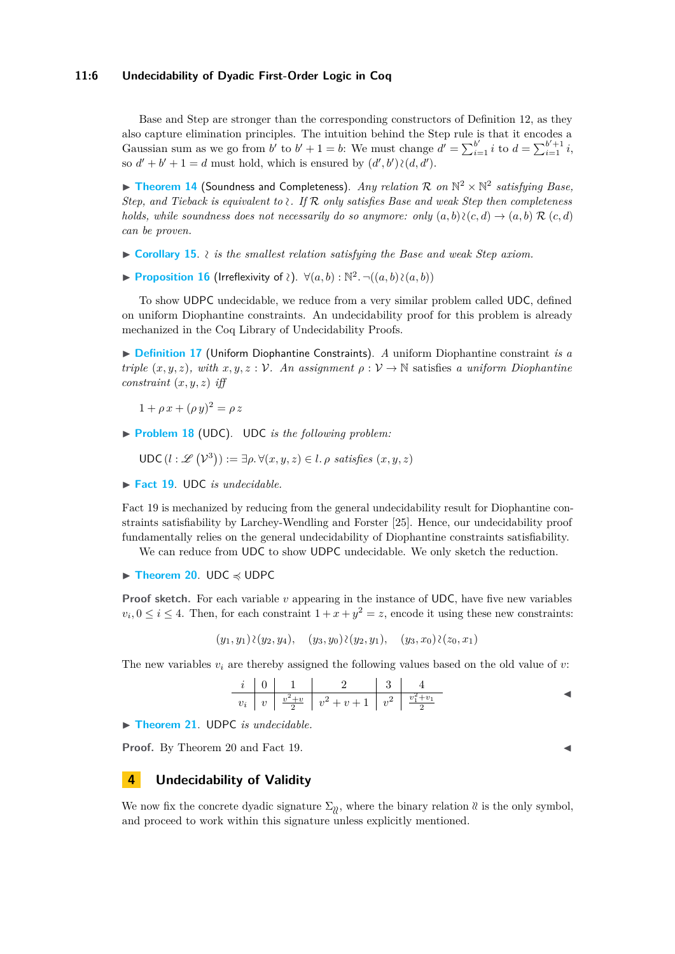### **11:6 Undecidability of Dyadic First-Order Logic in Coq**

Base and Step are stronger than the corresponding constructors of Definition [12,](#page-4-1) as they also capture elimination principles. The intuition behind the Step rule is that it encodes a Gaussian sum as we go from *b*<sup>*i*</sup> to *b*<sup>*i*</sup> + 1 = *b*: We must change  $d' = \sum_{i=1}^{b'} i$  to  $d = \sum_{i=1}^{b'+1} i$ , so  $d' + b' + 1 = d$  must hold, which is ensured by  $(d', b') \wr (d, d')$ .

<span id="page-5-4"></span>▶ [Theorem 14](https://www.ps.uni-saarland.de/extras/fol-dyadic/website/Undecidability.DiophantineConstraints.Util.H10UPC_facts.html#satCongr) (Soundness and Completeness). *Any relation*  $\mathcal{R}$  on  $\mathbb{N}^2 \times \mathbb{N}^2$  satisfying Base, *Step, and Tieback is equivalent to* <sup>∼</sup>*. If* R *only satisfies Base and weak Step then completeness holds, while soundness does not necessarily do so anymore: only*  $(a, b) \wr (c, d) \rightarrow (a, b) \mathcal{R} (c, d)$ *can be proven.*

- ▶ **[Corollary 15](https://www.ps.uni-saarland.de/extras/fol-dyadic/website/Undecidability.DiophantineConstraints.Util.H10UPC_facts.html#satEquiv)**. <sup>∼</sup>*is the smallest relation satisfying the Base and weak Step axiom.*
- <span id="page-5-3"></span>**► [Proposition 16](https://www.ps.uni-saarland.de/extras/fol-dyadic/website/Undecidability.DiophantineConstraints.Util.H10UPC_facts.html#h10_rel_irref)** (Irreflexivity of *ζ*).  $\forall (a, b) : \mathbb{N}^2$ . ¬ $((a, b) \wr (a, b))$

To show UDPC undecidable, we reduce from a very similar problem called UDC, defined on uniform Diophantine constraints. An undecidability proof for this problem is already mechanized in the Coq Library of Undecidability Proofs.

▶ **[Definition 17](https://www.ps.uni-saarland.de/extras/fol-dyadic/website/Undecidability.DiophantineConstraints.H10C.html#h10uc)** (Uniform Diophantine Constraints). *A* uniform Diophantine constraint *is a triple*  $(x, y, z)$ *, with*  $x, y, z : V$ *. An assignment*  $\rho : V \to \mathbb{N}$  satisfies *a uniform Diophantine constraint* (*x, y, z*) *iff*

 $1 + \rho x + (\rho y)^2 = \rho z$ 

▶ **[Problem 18](https://www.ps.uni-saarland.de/extras/fol-dyadic/website/Undecidability.DiophantineConstraints.H10C.html#H10UC_SAT)** (UDC). UDC *is the following problem:*

$$
\mathsf{UDC}\,(l:\mathscr{L}\left(\mathcal{V}^3\right)) := \exists \rho. \,\forall (x, y, z) \in l. \,\rho \,\, satisfies \,\, (x, y, z)
$$

<span id="page-5-1"></span>▶ **[Fact 19](https://www.ps.uni-saarland.de/extras/fol-dyadic/website/Undecidability.DiophantineConstraints.H10C_undec.html#H10UC_SAT_undec)**. UDC *is undecidable.*

Fact [19](#page-5-1) is mechanized by reducing from the general undecidability result for Diophantine constraints satisfiability by Larchey-Wendling and Forster [\[25\]](#page-18-12). Hence, our undecidability proof fundamentally relies on the general undecidability of Diophantine constraints satisfiability.

We can reduce from UDC to show UDPC undecidable. We only sketch the reduction.

<span id="page-5-2"></span>▶ **[Theorem 20](https://www.ps.uni-saarland.de/extras/fol-dyadic/website/Undecidability.DiophantineConstraints.Reductions.H10UC_SAT_to_H10UPC_SAT.html#reduction)**. UDC ≼ UDPC

**Proof sketch.** For each variable *v* appearing in the instance of UDC, have five new variables  $v_i, 0 \leq i \leq 4$ . Then, for each constraint  $1 + x + y^2 = z$ , encode it using these new constraints:

 $(y_1, y_1)$   $\{y_2, y_4\}$ ,  $(y_3, y_0)$   $\{y_2, y_1\}$ ,  $(y_3, x_0)$   $\{z_0, x_1\}$ 

The new variables *v<sup>i</sup>* are thereby assigned the following values based on the old value of *v*:

$$
\begin{array}{c|c|c|c|c|c|c|c|c} i & 0 & 1 & 2 & 3 & 4 \\ \hline v_i & v & \frac{v^2+v}{2} & v^2+v+1 & v^2 & \frac{v_1^2+v_1}{2} \end{array} \qquad \qquad \blacksquare
$$

▶ **[Theorem 21](https://www.ps.uni-saarland.de/extras/fol-dyadic/website/Undecidability.DiophantineConstraints.H10C_undec.html#H10UPC_SAT_undec)**. UDPC *is undecidable.*

**Proof.** By Theorem [20](#page-5-2) and Fact [19.](#page-5-1)

# <span id="page-5-0"></span>**4 Undecidability of Validity**

We now fix the concrete dyadic signature  $\Sigma_{\mathcal{U}}$ , where the binary relation  $\mathcal{U}$  is the only symbol, and proceed to work within this signature unless explicitly mentioned.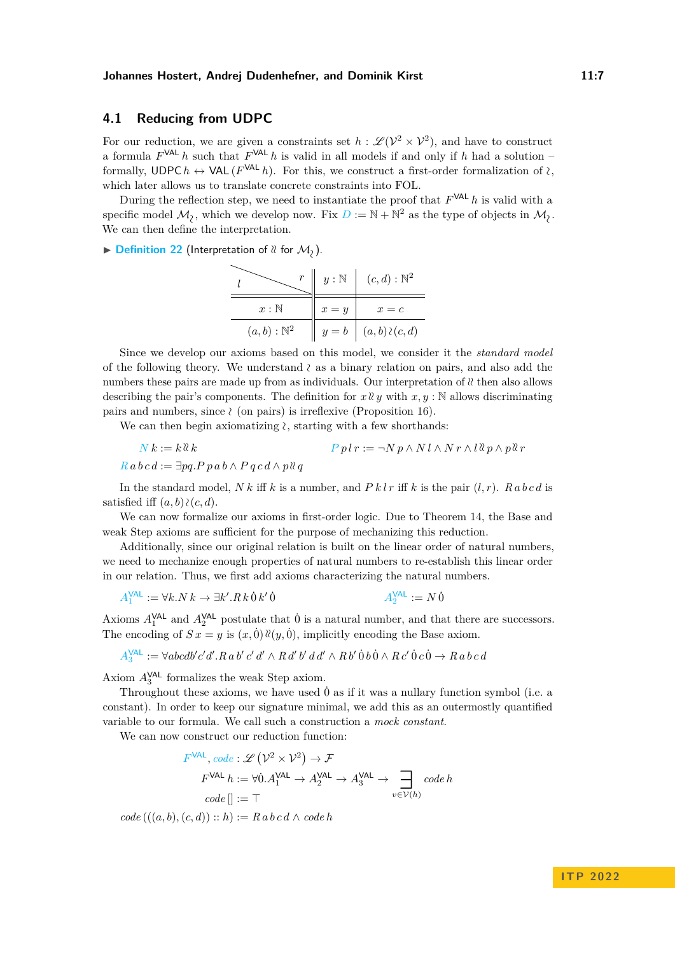# **4.1 Reducing from UDPC**

For our reduction, we are given a constraints set  $h : \mathscr{L}(\mathcal{V}^2 \times \mathcal{V}^2)$ , and have to construct a formula  $F^{\text{VAL}}$  *h* such that  $F^{\text{VAL}}$  *h* is valid in all models if and only if *h* had a solution – formally, UDPC  $h \leftrightarrow \text{VAL}(F^{\text{VAL}} h)$ . For this, we construct a first-order formalization of  $\lambda$ , which later allows us to translate concrete constraints into FOL.

During the reflection step, we need to instantiate the proof that *F* VAL *h* is valid with a specific model  $\mathcal{M}_{\lambda}$ , which we develop now. Fix  $D := \mathbb{N} + \mathbb{N}^2$  $D := \mathbb{N} + \mathbb{N}^2$  as the type of objects in  $\mathcal{M}_{\lambda}$ . We can then define the interpretation.

#### ▶ **[Definition 22](https://www.ps.uni-saarland.de/extras/fol-dyadic/website/Undecidability.FOL.Reductions.H10UPC_to_FOL_full_fragment.html#dom_rel)** (Interpretation of  $\ell$  for  $\mathcal{M}_2$ ).

*l r y* : N (*c, d*) : N 2 *x* : N *x* = *y x* = *c* (*a, b*) : N <sup>2</sup> *y* = *b* (*a, b*) (∼*c, d*)

Since we develop our axioms based on this model, we consider it the *standard model* of the following theory. We understand <sup>∼</sup>as a binary relation on pairs, and also add the numbers these pairs are made up from as individuals. Our interpretation of  $\alpha$  then also allows describing the pair's components. The definition for  $x \, \partial y$  with  $x, y : \mathbb{N}$  allows discriminating pairs and numbers, since <sup>∼</sup>(on pairs) is irreflexive (Proposition [16\)](#page-5-3).

We can then begin axiomatizing  $\lambda$ , starting with a few shorthands:

 $P p l r := \neg N p \wedge N l \wedge N r \wedge l \& p \wedge p \& r$  $P p l r := \neg N p \wedge N l \wedge N r \wedge l \& p \wedge p \& r$  $P p l r := \neg N p \wedge N l \wedge N r \wedge l \& p \wedge p \& r$  $R$  *a*  $bc$  *d* :=  $\exists pa.P$   $p$   $a$   $b \wedge P$   $q$   $c$   $d \wedge p$   $\&$   $q$ 

In the standard model,  $N k$  iff  $k$  is a number, and  $P k l r$  iff  $k$  is the pair  $(l, r)$ .  $R a b c d$  is satisfied iff  $(a, b)$   $\wr$   $(c, d)$ .

We can now formalize our axioms in first-order logic. Due to Theorem [14,](#page-5-4) the [Base](#page-4-2) and [weak Step](#page-4-2) axioms are sufficient for the purpose of mechanizing this reduction.

Additionally, since our original relation is built on the linear order of natural numbers, we need to mechanize enough properties of natural numbers to re-establish this linear order in our relation. Thus, we first add axioms characterizing the natural numbers.

$$
A_1^{\text{VAL}} := \forall k. N \, k \to \exists k'. R \, k \, \dot{0} \, k' \, \dot{0} \qquad A_2^{\text{VAL}} := N \, \dot{0}
$$

Axioms  $A_1^{\text{VAL}}$  and  $A_2^{\text{VAL}}$  postulate that 0<sup> $\dot{0}$ </sup> is a natural number, and that there are successors. The encoding of  $S x = y$  is  $(x, 0) \aleph(y, 0)$ , implicitly encoding the [Base](#page-4-2) axiom.

$$
A_3^{\text{VAL}} := \forall abcdb'c'd'.Ra b'c'd' \wedge Rd'b'dd' \wedge Rb'0b0 \wedge Rc'0c0 \rightarrow Ra bcd
$$

Axiom  $A_3^{\text{VAL}}$  formalizes the [weak Step](#page-4-2) axiom.

Throughout these axioms, we have used  $\dot{0}$  as if it was a nullary function symbol (i.e. a constant). In order to keep our signature minimal, we add this as an outermostly quantified variable to our formula. We call such a construction a *mock constant*.

We can now construct our reduction function:

$$
F^{\text{VAL}}, code: \mathcal{L}(\mathcal{V}^2 \times \mathcal{V}^2) \to \mathcal{F}
$$
  
\n
$$
F^{\text{VAL}} h := \forall 0.A_1^{\text{VAL}} \to A_2^{\text{VAL}} \to A_3^{\text{VAL}} \to \prod_{v \in \mathcal{V}(h)} code h
$$
  
\n
$$
code[] := \top
$$

 $code((a, b), (c, d)) :: h) := R \, a \, b \, c \, d \wedge \, code \, h$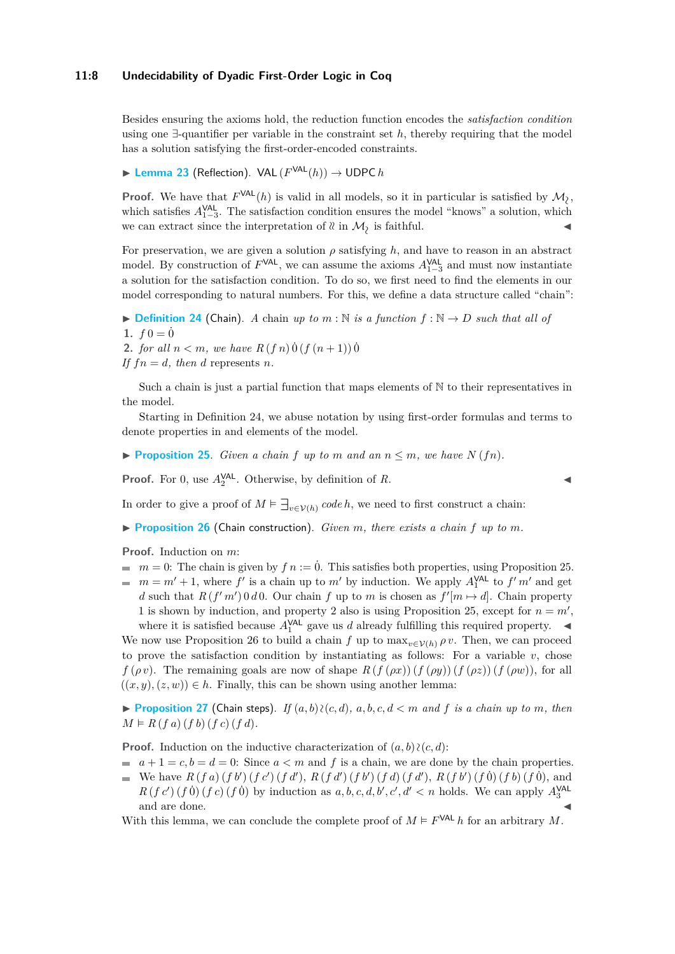## **11:8 Undecidability of Dyadic First-Order Logic in Coq**

Besides ensuring the axioms hold, the reduction function encodes the *satisfaction condition* using one ∃-quantifier per variable in the constraint set *h*, thereby requiring that the model has a solution satisfying the first-order-encoded constraints.

<span id="page-7-4"></span>▶ **[Lemma 23](https://www.ps.uni-saarland.de/extras/fol-dyadic/website/Undecidability.FOL.Reductions.H10UPC_to_FOL_full_fragment.html#inverseTransport)** (Reflection). VAL  $(F^{\text{VAL}}(h))$  → UDPC *h* 

**Proof.** We have that  $F^{\text{VAL}}(h)$  is valid in all models, so it in particular is satisfied by  $\mathcal{M}_{\lambda}$ , which satisfies  $A_{1-3}^{\text{VAL}}$ . The satisfaction condition ensures the model "knows" a solution, which we can extract since the interpretation of  $\mathcal{X}$  in  $\mathcal{M}_2$  is faithful.

For preservation, we are given a solution  $\rho$  satisfying  $h$ , and have to reason in an abstract model. By construction of  $F<sup>VAL</sup>$ , we can assume the axioms  $A<sup>VAL</sup><sub>1–3</sub>$  and must now instantiate a solution for the satisfaction condition. To do so, we first need to find the elements in our model corresponding to natural numbers. For this, we define a data structure called "chain":

<span id="page-7-0"></span> $\blacktriangleright$  **[Definition 24](https://www.ps.uni-saarland.de/extras/fol-dyadic/website/Undecidability.FOL.Reductions.H10UPC_to_FOL_full_fragment.html#chain)** (Chain). *A* chain *up to m* : N *is a function*  $f : \mathbb{N} \to D$  *such that all of* 1.  $f0 = 0$ 

**2.** *for all*  $n < m$ *, we have*  $R(f \, n) \, \dot{0} \, (f (n+1)) \, \dot{0}$ 

*If*  $fn = d$ *, then d* represents *n.* 

Such a chain is just a partial function that maps elements of N to their representatives in the model.

Starting in Definition [24,](#page-7-0) we abuse notation by using first-order formulas and terms to denote properties in and elements of the model.

<span id="page-7-1"></span> $\blacktriangleright$  **[Proposition 25](https://www.ps.uni-saarland.de/extras/fol-dyadic/website/Undecidability.FOL.Reductions.H10UPC_to_FOL_full_fragment.html#chain_N)**. *Given a chain*  $f$  *up to*  $m$  *and*  $an n \leq m$ *, we have*  $N(fn)$ *.* 

**Proof.** For 0, use  $A_2^{\text{VAL}}$ . Otherwise, by definition of *R*.

In order to give a proof of  $M \models \exists_{v \in \mathcal{V}(h)} code h$ , we need to first construct a chain:

<span id="page-7-2"></span> $\triangleright$  **[Proposition 26](https://www.ps.uni-saarland.de/extras/fol-dyadic/website/Undecidability.FOL.Reductions.H10UPC_to_FOL_full_fragment.html#chain_build)** (Chain construction). *Given m*, *there exists a chain f up to m*.

**Proof.** Induction on *m*:

- $m = 0$ : The chain is given by  $fn := 0$ . This satisfies both properties, using Proposition [25.](#page-7-1)
- $m = m' + 1$ , where  $f'$  is a chain up to  $m'$  by induction. We apply  $A_1^{\text{VAL}}$  to  $f' m'$  and get *d* such that  $R(f'm') \cdot 0 \cdot d \cdot 0$ . Our chain *f* up to *m* is chosen as  $f'[m \mapsto d]$ . Chain property 1 is shown by induction, and property 2 also is using Proposition [25,](#page-7-1) except for  $n = m'$ , where it is satisfied because  $A_1^{\text{VAL}}$  gave us *d* already fulfilling this required property.  $\blacktriangleleft$

We now use Proposition [26](#page-7-2) to build a chain *f* up to  $\max_{v \in V(h)} \rho v$ . Then, we can proceed to prove the satisfaction condition by instantiating as follows: For a variable  $v$ , chose *f* (*ρv*). The remaining goals are now of shape  $R(f(\rho x))(f(\rho y))(f(\rho z))(f(\rho w))$ , for all  $((x, y), (z, w)) \in h$ . Finally, this can be shown using another lemma:

<span id="page-7-3"></span>▶ **[Proposition 27](https://www.ps.uni-saarland.de/extras/fol-dyadic/website/Undecidability.FOL.Reductions.H10UPC_to_FOL_full_fragment.html#chain_proves)** (Chain steps). *If*  $(a, b)$   $\{c, d\}$ ,  $a, b, c, d < m$  and f is a chain up to m, then  $M \models R(f a) (f b) (f c) (f d).$ 

**Proof.** Induction on the inductive characterization of  $(a, b)$  ≥( $c, d$ ):

- $a + 1 = c, b = d = 0$ : Since  $a < m$  and f is a chain, we are done by the chain properties.
- We have  $R(f a) (f b') (f c') (f d')$ ,  $R(f d') (f b') (f d) (f d'')$ ,  $R(f b') (f \dot{\theta}) (f \dot{\theta}) (f \dot{\theta})$ , and m.  $R(f c') (f \dot{0}) (f c) (f \dot{0})$  by induction as  $a, b, c, d, b', c', d' < n$  holds. We can apply  $A_3^{\text{VAL}}$ and are done.

<span id="page-7-5"></span>With this lemma, we can conclude the complete proof of  $M \models F^{\text{VAL}} h$  for an arbitrary M.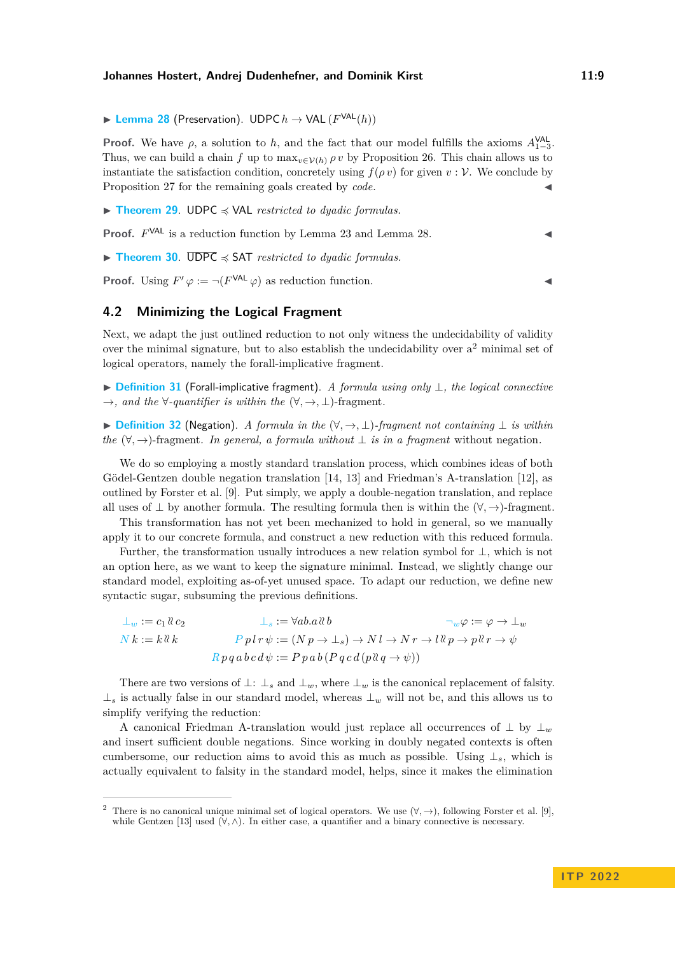▶ **[Lemma 28](https://www.ps.uni-saarland.de/extras/fol-dyadic/website/Undecidability.FOL.Reductions.H10UPC_to_FOL_full_fragment.html#transport)** (Preservation). UDPC  $h$  → VAL ( $F<sup>VAL</sup>(h)$ )

**Proof.** We have  $\rho$ , a solution to  $h$ , and the fact that our model fulfills the axioms  $A_{1-3}^{\text{VAL}}$ . Thus, we can build a chain *f* up to  $\max_{v \in \mathcal{V}(h)} \rho v$  by Proposition [26.](#page-7-2) This chain allows us to instantiate the satisfaction condition, concretely using  $f(\rho v)$  for given  $v : V$ . We conclude by Proposition [27](#page-7-3) for the remaining goals created by *code*.

<span id="page-8-1"></span>▶ **[Theorem 29](https://www.ps.uni-saarland.de/extras/fol-dyadic/website/Undecidability.FOL.Reductions.H10UPC_to_FOL_full_fragment.html#fullFragValidReduction)**. UDPC ≼ VAL *restricted to dyadic formulas.*

**Proof.**  $F<sup>VAL</sup>$  is a reduction function by Lemma [23](#page-7-4) and Lemma [28.](#page-7-5)  $\triangleleft$ 

▶ **[Theorem 30](https://www.ps.uni-saarland.de/extras/fol-dyadic/website/Undecidability.FOL.Reductions.H10UPC_to_FOL_full_fragment.html#fullFragSatisReduction)**. UDPC ≼ SAT *restricted to dyadic formulas.*

**Proof.** Using  $F' \varphi := \neg(F^{\text{VAL}} \varphi)$  as reduction function.

# <span id="page-8-2"></span>**4.2 Minimizing the Logical Fragment**

Next, we adapt the just outlined reduction to not only witness the undecidability of validity over the minimal signature, but to also establish the undecidability over  $a<sup>2</sup>$  $a<sup>2</sup>$  $a<sup>2</sup>$  minimal set of logical operators, namely the forall-implicative fragment.

▶ **[Definition 31](https://www.ps.uni-saarland.de/extras/fol-dyadic/website/Undecidability.FOL.Util.Syntax.html#FragmentSyntax)** (Forall-implicative fragment). *A formula using only* ⊥*, the logical connective*  $\rightarrow$ *, and the*  $\forall$ -quantifier is within the  $(\forall, \rightarrow, \bot)$ -fragment.

▶ **[Definition 32](https://www.ps.uni-saarland.de/extras/fol-dyadic/website/Undecidability.FOL.Util.Syntax.html#falsity_off)** (Negation). *A formula in the* (∀*,* →*,* ⊥)*-fragment not containing* ⊥ *is within the*  $(\forall, \rightarrow)$ -fragment. In general, a formula without  $\perp$  *is in a fragment* without negation.

We do so employing a mostly standard translation process, which combines ideas of both Gödel-Gentzen double negation translation [\[14,](#page-17-3) [13\]](#page-17-4) and Friedman's A-translation [\[12\]](#page-17-13), as outlined by Forster et al. [\[9\]](#page-17-5). Put simply, we apply a double-negation translation, and replace all uses of ⊥ by another formula. The resulting formula then is within the (∀*,* →)-fragment.

This transformation has not yet been mechanized to hold in general, so we manually apply it to our concrete formula, and construct a new reduction with this reduced formula.

Further, the transformation usually introduces a new relation symbol for ⊥, which is not an option here, as we want to keep the signature minimal. Instead, we slightly change our standard model, exploiting as-of-yet unused space. To adapt our reduction, we define new syntactic sugar, subsuming the previous definitions.

$$
\bot_w := c_1 \& c_2
$$
  
\n
$$
\bot_s := \forall ab. a \& b
$$
  
\n
$$
\neg_w \varphi := \varphi \to \bot_w
$$
  
\n
$$
N k := k \& k
$$
  
\n
$$
P p l r \psi := (N p \to \bot_s) \to N l \to N r \to l \& p \to p \& r \to \psi
$$
  
\n
$$
R p q a b c d \psi := P p a b (P q c d (p \& q \to \psi))
$$

There are two versions of  $\perp$ :  $\perp$ <sub>s</sub> and  $\perp$ <sub>*w*</sub>, where  $\perp$ <sub>*w*</sub> is the canonical replacement of falsity. ⊥*<sup>s</sup>* is actually false in our standard model, whereas ⊥*<sup>w</sup>* will not be, and this allows us to simplify verifying the reduction:

A canonical Friedman A-translation would just replace all occurrences of  $\perp$  by  $\perp_w$ and insert sufficient double negations. Since working in doubly negated contexts is often cumbersome, our reduction aims to avoid this as much as possible. Using ⊥*s*, which is actually equivalent to falsity in the standard model, helps, since it makes the elimination

<span id="page-8-0"></span><sup>&</sup>lt;sup>2</sup> There is no canonical unique minimal set of logical operators. We use  $(\forall, \rightarrow)$ , following Forster et al. [\[9\]](#page-17-5), while Gentzen [\[13\]](#page-17-4) used (∀*,* ∧). In either case, a quantifier and a binary connective is necessary.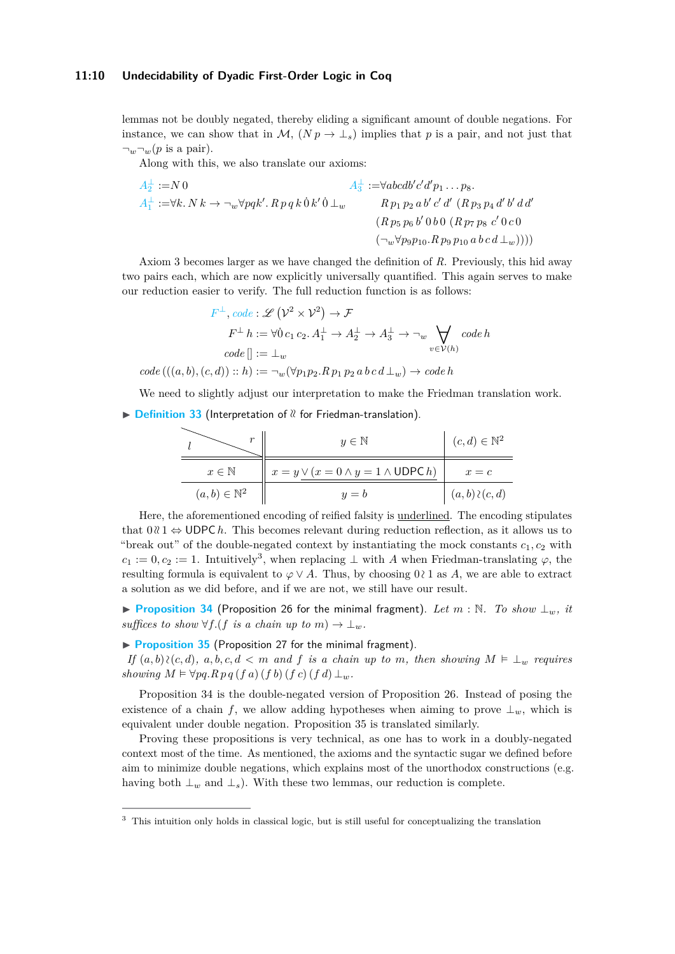lemmas not be doubly negated, thereby eliding a significant amount of double negations. For instance, we can show that in  $\mathcal{M}, (N p \to \perp_s)$  implies that p is a pair, and not just that  $\neg_w \neg_w (p \text{ is a pair}).$ 

Along with this, we also translate our axioms:

$$
A_{2}^{\perp} := N 0
$$
  
\n
$$
A_{1}^{\perp} := \forall k. N k \to \neg_{w} \forall p q k'. R p q k 0 k' 0 \perp_{w} \qquad R p_1 p_2 a b' c' d' (R p_3 p_4 d' b' d d'
$$
  
\n
$$
(R p_5 p_6 b' 0 b 0 (R p_7 p_8 c' 0 c 0
$$
  
\n
$$
(\neg_{w} \forall p_9 p_{10}. R p_9 p_{10} a b c d \perp_{w}))))
$$

Axiom 3 becomes larger as we have changed the definition of *R*. Previously, this hid away two pairs each, which are now explicitly universally quantified. This again serves to make our reduction easier to verify. The full reduction function is as follows:

$$
F^{\perp}, code : \mathcal{L}(\mathcal{V}^2 \times \mathcal{V}^2) \to \mathcal{F}
$$

$$
F^{\perp} h := \forall 0 c_1 c_2. A_1^{\perp} \to A_2^{\perp} \to A_3^{\perp} \to \neg_w \bigvee_{v \in \mathcal{V}(h)} code h
$$

$$
code \parallel := \perp_w
$$

$$
code \left( ((a, b), (c, d)) :: h \right) := \neg_w(\forall p_1 p_2. R \, p_1 \, p_2 \, a \, b \, c \, d \perp_w) \to code h
$$

We need to slightly adjust our interpretation to make the Friedman translation work.

▶ **[Definition 33](https://www.ps.uni-saarland.de/extras/fol-dyadic/website/Undecidability.FOL.Reductions.H10UPC_to_FOL_minimal.html#dom_rel)** (Interpretation of  $\alpha$  for Friedman-translation).

| $r$                       | $y \in \mathbb{N}$                                    | $(c, d) \in \mathbb{N}^2$ |
|---------------------------|-------------------------------------------------------|---------------------------|
| $x \in \mathbb{N}$        | $x = y \vee (x = 0 \land y = 1 \land \text{UDPC } h)$ | $x = c$                   |
| $(a, b) \in \mathbb{N}^2$ | $y = b$                                               | $(a, b) \wr (c, d)$       |

Here, the aforementioned encoding of reified falsity is underlined. The encoding stipulates that  $0 \& \mathfrak{t} \leftrightarrow \mathsf{UDPC}\,h$ . This becomes relevant during reduction reflection, as it allows us to "break out" of the double-negated context by instantiating the mock constants  $c_1, c_2$  with  $c_1 := 0, c_2 := 1$ . Intuitively<sup>[3](#page-9-0)</sup>, when replacing  $\perp$  with *A* when Friedman-translating  $\varphi$ , the resulting formula is equivalent to  $\varphi \vee A$ . Thus, by choosing 0  $\wr$  1 as *A*, we are able to extract a solution as we did before, and if we are not, we still have our result.

<span id="page-9-1"></span>▶ **[Proposition 34](https://www.ps.uni-saarland.de/extras/fol-dyadic/website/Undecidability.FOL.Reductions.H10UPC_to_FOL_minimal.html#construct_chain_at)** (Proposition [26](#page-7-2) for the minimal fragment). *Let m* : N*. To show* ⊥*w, it suffices to show*  $\forall f$ .(*f is a chain up to m*)  $\rightarrow \bot_w$ *.* 

<span id="page-9-2"></span>▶ **[Proposition 35](https://www.ps.uni-saarland.de/extras/fol-dyadic/website/Undecidability.FOL.Reductions.H10UPC_to_FOL_minimal.html#prove_single)** (Proposition [27](#page-7-3) for the minimal fragment).

*If*  $(a, b)$   $\{c, d\}$ *,*  $a, b, c, d < m$  *and f is a chain up to m, then showing*  $M \vDash \bot_w$  *requires showing*  $M \models \forall pq. R \, pq \, (f \, a) \, (f \, b) \, (f \, c) \, (f \, d) \perp_w$ .

Proposition [34](#page-9-1) is the double-negated version of Proposition [26.](#page-7-2) Instead of posing the existence of a chain *f*, we allow adding hypotheses when aiming to prove  $\perp_w$ , which is equivalent under double negation. Proposition [35](#page-9-2) is translated similarly.

Proving these propositions is very technical, as one has to work in a doubly-negated context most of the time. As mentioned, the axioms and the syntactic sugar we defined before aim to minimize double negations, which explains most of the unorthodox constructions (e.g. having both  $\perp_w$  and  $\perp_s$ ). With these two lemmas, our reduction is complete.

<span id="page-9-3"></span><span id="page-9-0"></span><sup>3</sup> This intuition only holds in classical logic, but is still useful for conceptualizing the translation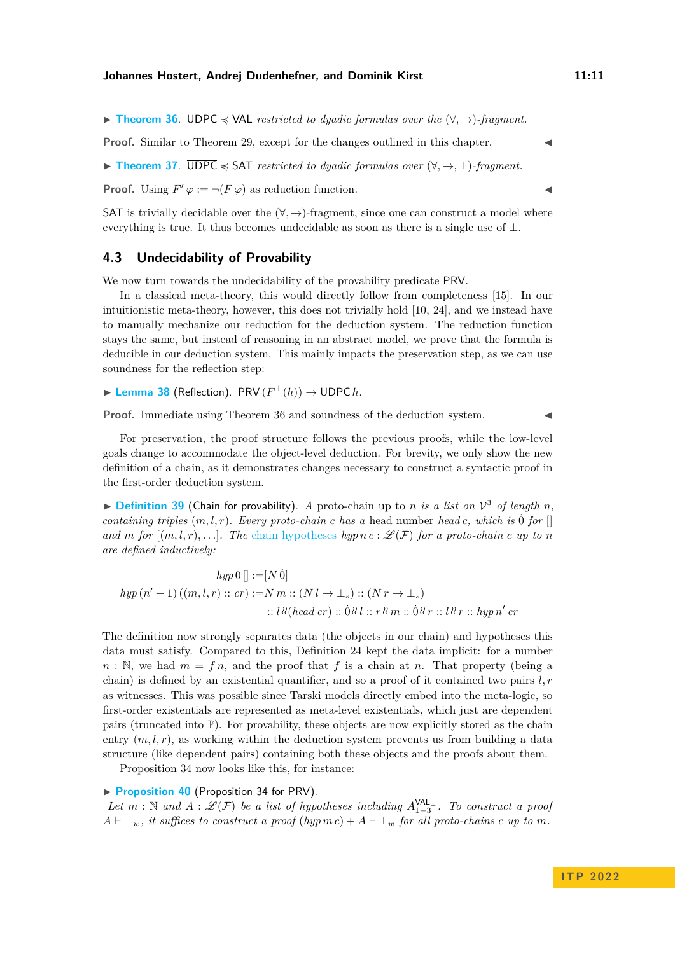▶ **[Theorem 36](https://www.ps.uni-saarland.de/extras/fol-dyadic/website/Undecidability.FOL.Reductions.H10UPC_to_FOL_minimal.html#validReduction)**. UDPC ≼ VAL *restricted to dyadic formulas over the* (∀*,* →)*-fragment.*

**Proof.** Similar to Theorem [29,](#page-8-1) except for the changes outlined in this chapter.

<span id="page-10-1"></span>▶ **[Theorem 37](https://www.ps.uni-saarland.de/extras/fol-dyadic/website/Undecidability.FOL.Reductions.H10UPC_to_FOL_minimal.html#satisReduction)**. UDPC ≼ SAT *restricted to dyadic formulas over* (∀*,* →*,* ⊥)*-fragment.*

**Proof.** Using  $F' \varphi := \neg(F \varphi)$  as reduction function.

SAT is trivially decidable over the  $(\forall, \rightarrow)$ -fragment, since one can construct a model where everything is true. It thus becomes undecidable as soon as there is a single use of  $\perp$ .

## <span id="page-10-2"></span>**4.3 Undecidability of Provability**

We now turn towards the undecidability of the provability predicate PRV.

In a classical meta-theory, this would directly follow from completeness [\[15\]](#page-18-15). In our intuitionistic meta-theory, however, this does not trivially hold [\[10,](#page-17-11) [24\]](#page-18-16), and we instead have to manually mechanize our reduction for the deduction system. The reduction function stays the same, but instead of reasoning in an abstract model, we prove that the formula is deducible in our deduction system. This mainly impacts the preservation step, as we can use soundness for the reflection step:

<span id="page-10-0"></span>▶ **[Lemma 38](https://www.ps.uni-saarland.de/extras/fol-dyadic/website/Undecidability.FOL.Reductions.H10UPC_to_FOL_minimal.html#inverseProofTransport)** (Reflection). PRV  $(F^{\perp}(h)) \to \text{UDPC } h$ .

**Proof.** Immediate using Theorem [36](#page-9-3) and soundness of the deduction system.

For preservation, the proof structure follows the previous proofs, while the low-level goals change to accommodate the object-level deduction. For brevity, we only show the new definition of a chain, as it demonstrates changes necessary to construct a syntactic proof in the first-order deduction system.

 $\triangleright$  **[Definition 39](https://www.ps.uni-saarland.de/extras/fol-dyadic/website/Undecidability.FOL.Reductions.H10UPC_to_FOL_minimal.html#chain)** (Chain for provability). *A* proto-chain up to *n is a list on*  $V^3$  *of length n*, *containing triples*  $(m, l, r)$ *. Every proto-chain c has a* head number *head c*, which is 0<sup>i</sup> *for* [] *and m for*  $[(m, l, r), \ldots]$ *. The* [chain hypotheses](https://www.ps.uni-saarland.de/extras/fol-dyadic/website/Undecidability.FOL.Reductions.H10UPC_to_FOL_minimal.html#chain_exists) *hyp*  $nc : \mathscr{L}(F)$  *for a proto-chain*  $c$  *up to*  $n$ *are defined inductively:*

 $hyp\,0$  $\vert\vert := [N\,\dot{0}]$  $hyp (n' + 1) ((m, l, r) :: cr) := N m :: (N l \rightarrow \perp_s) :: (N r \rightarrow \perp_s)$  $\therefore$  *l*  $\mathcal{R}(head \textit{cr}) :: \dot{0}\mathcal{R}l :: r\mathcal{R}m :: \dot{0}\mathcal{R}r :: l\mathcal{R}r :: hyp n' \textit{cr}$ 

The definition now strongly separates data (the objects in our chain) and hypotheses this data must satisfy. Compared to this, Definition [24](#page-7-0) kept the data implicit: for a number  $n : \mathbb{N}$ , we had  $m = fn$ , and the proof that *f* is a chain at *n*. That property (being a chain) is defined by an existential quantifier, and so a proof of it contained two pairs *l, r* as witnesses. This was possible since Tarski models directly embed into the meta-logic, so first-order existentials are represented as meta-level existentials, which just are dependent pairs (truncated into  $\mathbb{P}$ ). For provability, these objects are now explicitly stored as the chain entry  $(m, l, r)$ , as working within the deduction system prevents us from building a data structure (like dependent pairs) containing both these objects and the proofs about them.

Proposition 34 now looks like this, for instance:

#### ▶ **[Proposition 40](https://www.ps.uni-saarland.de/extras/fol-dyadic/website/Undecidability.FOL.Reductions.H10UPC_to_FOL_minimal.html#construct_chain_at)** (Proposition [34](#page-9-1) for PRV).

Let  $m : \mathbb{N}$  and  $A : \mathscr{L}(\mathcal{F})$  be a list of hypotheses including  $A_{1-3}^{\mathsf{VAL}}$ . To construct a proof  $A \vdash \bot_w$ , it suffices to construct a proof ( $hyp \, m \, c$ ) +  $A \vdash \bot_w$  for all proto-chains  $c \, up \, to \, m$ .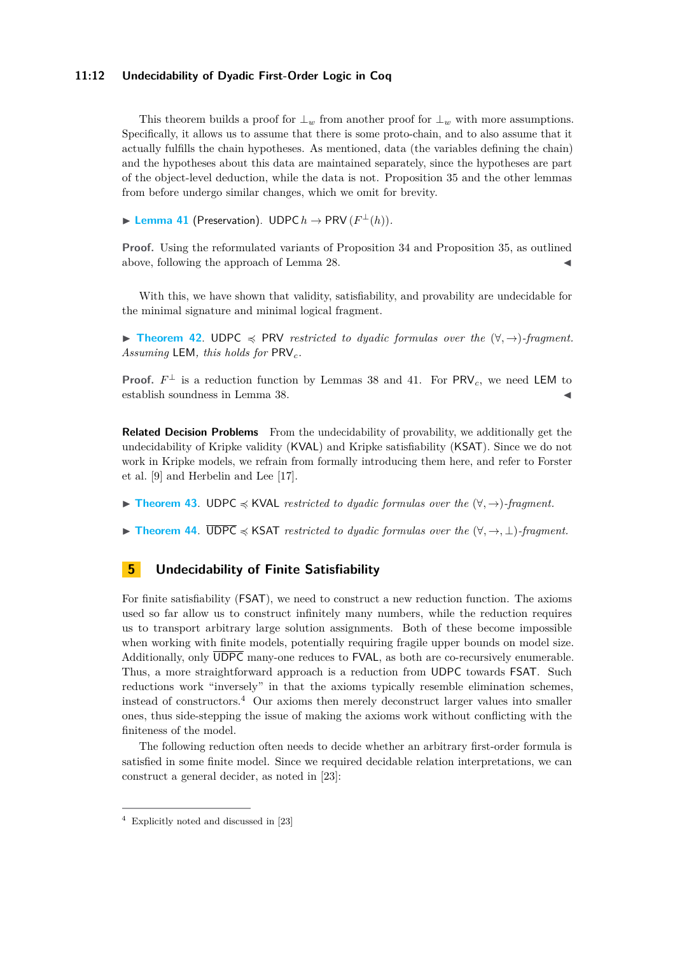## **11:12 Undecidability of Dyadic First-Order Logic in Coq**

This theorem builds a proof for  $\perp_w$  from another proof for  $\perp_w$  with more assumptions. Specifically, it allows us to assume that there is some proto-chain, and to also assume that it actually fulfills the chain hypotheses. As mentioned, data (the variables defining the chain) and the hypotheses about this data are maintained separately, since the hypotheses are part of the object-level deduction, while the data is not. Proposition [35](#page-9-2) and the other lemmas from before undergo similar changes, which we omit for brevity.

<span id="page-11-1"></span>▶ **[Lemma 41](https://www.ps.uni-saarland.de/extras/fol-dyadic/website/Undecidability.FOL.Reductions.H10UPC_to_FOL_minimal.html#proofTransport)** (Preservation). UDPC  $h \to \text{PRV}(F^{\perp}(h))$ .

**Proof.** Using the reformulated variants of Proposition [34](#page-9-1) and Proposition [35,](#page-9-2) as outlined above, following the approach of Lemma [28.](#page-7-5)

With this, we have shown that validity, satisfiability, and provability are undecidable for the minimal signature and minimal logical fragment.

<span id="page-11-3"></span>▶ **[Theorem 42](https://www.ps.uni-saarland.de/extras/fol-dyadic/website/Undecidability.FOL.Reductions.H10UPC_to_FOL_minimal.html#proveReduction)**. UDPC ≼ PRV *restricted to dyadic formulas over the* (∀*,* →)*-fragment. Assuming* LEM*, this holds for* PRV*c.*

**Proof.**  $F^{\perp}$  is a reduction function by Lemmas [38](#page-10-0) and [41.](#page-11-1) For  $PRV_c$ , we need LEM to establish soundness in Lemma [38.](#page-10-0)

**Related Decision Problems** From the undecidability of provability, we additionally get the undecidability of Kripke validity (KVAL) and Kripke satisfiability (KSAT). Since we do not work in Kripke models, we refrain from formally introducing them here, and refer to Forster et al. [\[9\]](#page-17-5) and Herbelin and Lee [\[17\]](#page-18-17).

<span id="page-11-4"></span>▶ **[Theorem 43](https://www.ps.uni-saarland.de/extras/fol-dyadic/website/Undecidability.FOL.Reductions.H10UPC_to_FOL_minimal.html#kripkeValidReduction)**. UDPC ≼ KVAL *restricted to dyadic formulas over the* (∀*,* →)*-fragment.*

<span id="page-11-5"></span>▶ **[Theorem 44](https://www.ps.uni-saarland.de/extras/fol-dyadic/website/Undecidability.FOL.Reductions.H10UPC_to_FOL_minimal.html#kripkeSatisReduction)**. UDPC ≼ KSAT *restricted to dyadic formulas over the* (∀*,* →*,* ⊥)*-fragment.*

# <span id="page-11-0"></span>**5 Undecidability of Finite Satisfiability**

For finite satisfiability (FSAT), we need to construct a new reduction function. The axioms used so far allow us to construct infinitely many numbers, while the reduction requires us to transport arbitrary large solution assignments. Both of these become impossible when working with finite models, potentially requiring fragile upper bounds on model size. Additionally, only UDPC many-one reduces to FVAL, as both are co-recursively enumerable. Thus, a more straightforward approach is a reduction from UDPC towards FSAT. Such reductions work "inversely" in that the axioms typically resemble elimination schemes, instead of constructors.<sup>[4](#page-11-2)</sup> Our axioms then merely deconstruct larger values into smaller ones, thus side-stepping the issue of making the axioms work without conflicting with the finiteness of the model.

The following reduction often needs to decide whether an arbitrary first-order formula is satisfied in some finite model. Since we required decidable relation interpretations, we can construct a general decider, as noted in [\[23\]](#page-18-11):

<span id="page-11-2"></span><sup>4</sup> Explicitly noted and discussed in [\[23\]](#page-18-11)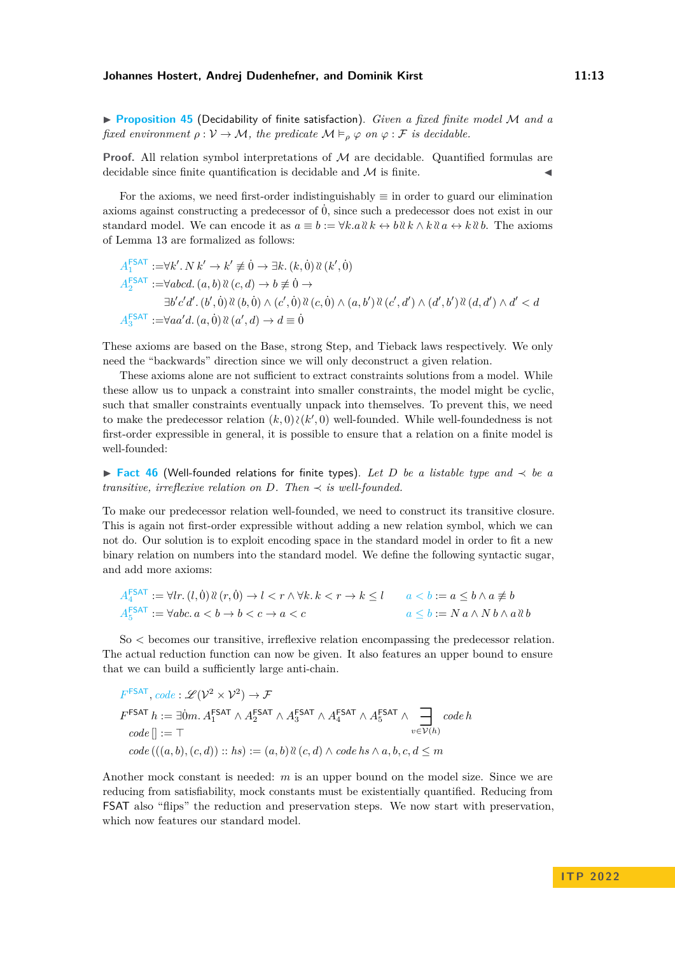<span id="page-12-1"></span>▶ **[Proposition 45](https://www.ps.uni-saarland.de/extras/fol-dyadic/website/Undecidability.FOL.Reductions.H10UPC_to_FSAT.html#general_decider)** (Decidability of finite satisfaction). *Given a fixed finite model* M *and a fixed environment*  $\rho : V \to M$ *, the predicate*  $M \vDash_{\rho} \varphi$  *on*  $\varphi : \mathcal{F}$  *is decidable.* 

**Proof.** All relation symbol interpretations of M are decidable. Quantified formulas are decidable since finite quantification is decidable and  $\mathcal M$  is finite.

For the axioms, we need first-order indistinguishably  $\equiv$  in order to guard our elimination axioms against constructing a predecessor of  $\dot{0}$ , since such a predecessor does not exist in our standard model. We can encode it as  $a \equiv b := \forall k.a \& k \leftrightarrow b \& k \land k \& a \leftrightarrow k \& b$ . The axioms of Lemma [13](#page-4-2) are formalized as follows:

$$
A_1^{\text{FSAT}} := \forall k'. N \ k' \to k' \neq 0 \to \exists k. (k, 0) \ \& (k', 0)
$$
\n
$$
A_2^{\text{FSAT}} := \forall abcd. (a, b) \ \& (c, d) \to b \neq 0 \to
$$
\n
$$
\exists b' c' d'. (b', 0) \ \& (b, 0) \land (c', 0) \ \& (c, 0) \land (a, b') \ \& (c', d') \land (d', b') \ \& (d, d') \land d' < d
$$
\n
$$
A_3^{\text{FSAT}} := \forall aa'd. (a, 0) \ \& (a', d) \to d \equiv 0
$$

These axioms are based on the [Base, strong Step, and Tieback](#page-4-2) laws respectively. We only need the "backwards" direction since we will only deconstruct a given relation.

These axioms alone are not sufficient to extract constraints solutions from a model. While these allow us to unpack a constraint into smaller constraints, the model might be cyclic, such that smaller constraints eventually unpack into themselves. To prevent this, we need to make the predecessor relation  $(k,0)$   $\chi$  $(k',0)$  well-founded. While well-foundedness is not first-order expressible in general, it is possible to ensure that a relation on a finite model is well-founded:

<span id="page-12-0"></span>▶ **[Fact 46](https://www.ps.uni-saarland.de/extras/fol-dyadic/website/Undecidability.Shared.Libs.DLW.Wf.wf_finite.html#wf_strict_order_finite)** (Well-founded relations for finite types). *Let D be a listable type and* ≺ *be a transitive, irreflexive relation on*  $D$ *. Then*  $\prec$  *is well-founded.* 

To make our predecessor relation well-founded, we need to construct its transitive closure. This is again not first-order expressible without adding a new relation symbol, which we can not do. Our solution is to exploit encoding space in the standard model in order to fit a new binary relation on numbers into the standard model. We define the following syntactic sugar, and add more axioms:

$$
A_4^{FSAT} := \forall lr. (l, 0) \& (r, 0) \rightarrow l < r \land \forall k. k < r \rightarrow k \le l \qquad a < b := a \le b \land a \ne b
$$
\n
$$
A_5^{FSAT} := \forall abc. a < b \rightarrow b < c \rightarrow a < c \qquad a \le b := N \, a \land N \, b \land a \, \& b
$$

So *<* becomes our transitive, irreflexive relation encompassing the predecessor relation. The actual reduction function can now be given. It also features an upper bound to ensure that we can build a sufficiently large anti-chain.

$$
F^{\text{FSAT}}, code: \mathcal{L}(\mathcal{V}^2 \times \mathcal{V}^2) \to \mathcal{F}
$$
  
\n
$$
F^{\text{FSAT}} h := \exists \dot{0}m. A_1^{\text{FSAT}} \wedge A_2^{\text{FSAT}} \wedge A_3^{\text{FSAT}} \wedge A_4^{\text{FSAT}} \wedge A_5^{\text{FSAT}} \wedge \bigoplus_{v \in \mathcal{V}(h)} code h
$$
  
\n
$$
code \mid := \top
$$
  
\n
$$
code \mid ((a, b), (c, d)) :: hs := (a, b) \& (c, d) \wedge code hs \wedge a, b, c, d \leq m
$$

Another mock constant is needed: *m* is an upper bound on the model size. Since we are reducing from satisfiability, mock constants must be existentially quantified. Reducing from FSAT also "flips" the reduction and preservation steps. We now start with preservation, which now features our standard model.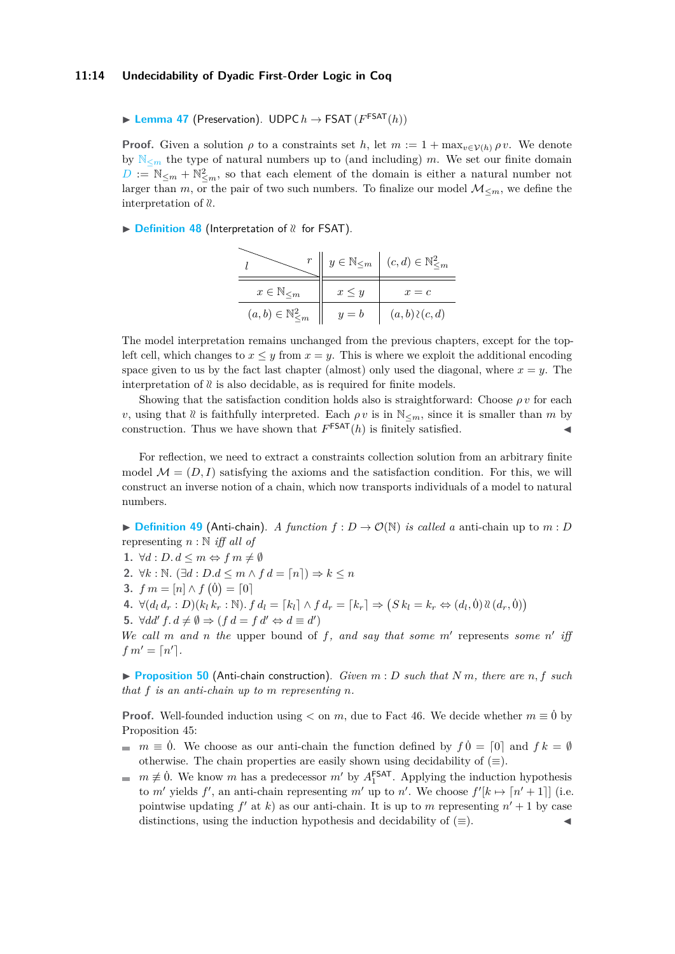▶ **[Lemma 47](https://www.ps.uni-saarland.de/extras/fol-dyadic/website/Undecidability.FOL.Reductions.H10UPC_to_FSAT.html#valid)** (Preservation). UDPC  $h \to \text{FSAT}(F^{\text{FSAT}}(h))$ 

**Proof.** Given a solution  $\rho$  to a constraints set *h*, let  $m := 1 + \max_{v \in \mathcal{V}(h)} \rho v$ . We denote by  $\mathbb{N}_{\leq m}$  $\mathbb{N}_{\leq m}$  $\mathbb{N}_{\leq m}$  the type of natural numbers up to (and including) *m*. We set our finite domain  $D := \mathbb{N}_{\leq m} + \mathbb{N}_{\leq m}^2$  $D := \mathbb{N}_{\leq m} + \mathbb{N}_{\leq m}^2$ , so that each element of the domain is either a natural number not larger than *m*, or the pair of two such numbers. To finalize our model  $\mathcal{M}_{\leq m}$ , we define the interpretation of  $\ell$ .

▶ **[Definition 48](https://www.ps.uni-saarland.de/extras/fol-dyadic/website/Undecidability.FOL.Reductions.H10UPC_to_FSAT.html#model_rel)** (Interpretation of  $\alpha$  for FSAT).

|                                    | $y \in \mathbb{N}_{\leq m}$ | $(c, d) \in \mathbb{N}_{\leq m}^2$ |
|------------------------------------|-----------------------------|------------------------------------|
| $x \in \mathbb{N}_{\leq m}$        | $x \leq y$                  | $x = c$                            |
| $(a, b) \in \mathbb{N}^2_{\leq m}$ | $y=b$                       | $(a,b)\wr(c,d)$                    |

The model interpretation remains unchanged from the previous chapters, except for the topleft cell, which changes to  $x \leq y$  from  $x = y$ . This is where we exploit the additional encoding space given to us by the fact last chapter (almost) only used the diagonal, where  $x = y$ . The interpretation of  $\ell$  is also decidable, as is required for finite models.

Showing that the satisfaction condition holds also is straightforward: Choose  $\rho v$  for each *v*, using that  $\ell$  is faithfully interpreted. Each  $\rho v$  is in  $\mathbb{N}_{\leq m}$ , since it is smaller than *m* by construction. Thus we have shown that  $F^{\text{FSAT}}(h)$  is finitely satisfied.

For reflection, we need to extract a constraints collection solution from an arbitrary finite model  $\mathcal{M} = (D, I)$  satisfying the axioms and the satisfaction condition. For this, we will construct an inverse notion of a chain, which now transports individuals of a model to natural numbers.

 $\blacktriangleright$  **[Definition 49](https://www.ps.uni-saarland.de/extras/fol-dyadic/website/Undecidability.FOL.Reductions.H10UPC_to_FSAT.html#chain)** (Anti-chain). *A function*  $f: D \to \mathcal{O}(\mathbb{N})$  *is called a* anti-chain up to *m* : *D* representing *n* : N *iff all of*

**1.**  $\forall d : D. d \leq m \Leftrightarrow f m \neq \emptyset$ 

2.  $\forall k : \mathbb{N}$ .  $(\exists d : D.d \leq m \land f d = \lceil n \rceil) \Rightarrow k \leq n$ 

**3.**  $f m = [n] \wedge f(\dot{0}) = [0]$ 

4.  $\forall (d_l d_r : D)(k_l k_r : \mathbb{N}). f d_l = [k_l] \wedge f d_r = [k_r] \Rightarrow (S k_l = k_r \Leftrightarrow (d_l, 0) \mathcal{X}(d_r, 0))$ 

**5.**  $\forall dd' f. d \neq \emptyset \Rightarrow (f d = f d' \Leftrightarrow d \equiv d')$ 

We call *m* and *n* the upper bound of f, and say that some  $m'$  represents some  $n'$  iff  $f m' = \lceil n' \rceil$ .

<span id="page-13-0"></span> $\blacktriangleright$  **[Proposition 50](https://www.ps.uni-saarland.de/extras/fol-dyadic/website/Undecidability.FOL.Reductions.H10UPC_to_FSAT.html#mkchain)** (Anti-chain construction). *Given*  $m : D$  *such that*  $N m$ *, there are*  $n, f$  *such that f is an anti-chain up to m representing n.*

**Proof.** Well-founded induction using  $\lt$  on *m*, due to Fact [46.](#page-12-0) We decide whether  $m \equiv 0$ <sup>i</sup> by Proposition [45:](#page-12-1)

- *. We choose as our anti-chain the function defined by*  $f0 = [0]$  *and*  $fk = ∅$ otherwise. The chain properties are easily shown using decidability of  $(\equiv)$ .
- $m \not\equiv 0$ . We know *m* has a predecessor  $m'$  by  $A_1^{\text{FSAT}}$ . Applying the induction hypothesis m. to *m'* yields  $f'$ , an anti-chain representing *m'* up to *n'*. We choose  $f'[k \mapsto [n'+1]]$  (i.e. pointwise updating  $f'$  at  $k$ ) as our anti-chain. It is up to  $m$  representing  $n' + 1$  by case distinctions, using the induction hypothesis and decidability of  $(\equiv)$ .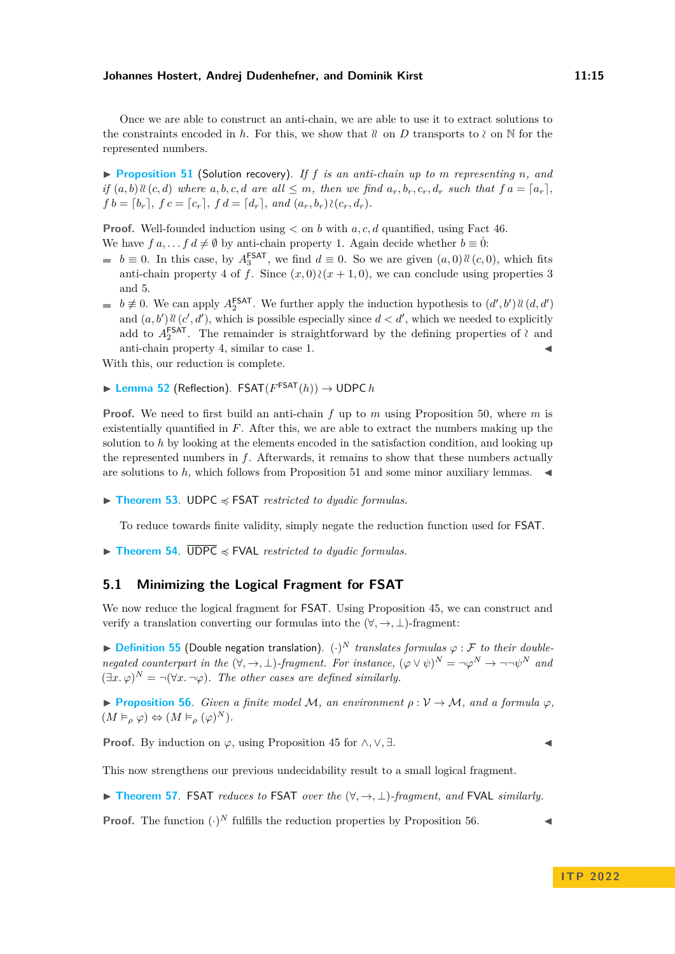Once we are able to construct an anti-chain, we are able to use it to extract solutions to the constraints encoded in *h*. For this, we show that  $\mathcal{R}$  on *D* transports to  $\lambda$  on  $\mathbb N$  for the represented numbers.

<span id="page-14-0"></span>▶ **[Proposition 51](https://www.ps.uni-saarland.de/extras/fol-dyadic/website/Undecidability.FOL.Reductions.H10UPC_to_FSAT.html#chain_proves)** (Solution recovery). *If f is an anti-chain up to m representing n, and* if  $(a, b)$   $\mathcal{C}(c, d)$  where  $a, b, c, d$  are all  $\leq m$ , then we find  $a_r, b_r, c_r, d_r$  such that  $fa = [a_r]$ .  $f b = [b_r]$ ,  $f c = [c_r]$ ,  $f d = [d_r]$ , and  $(a_r, b_r) \wr (c_r, d_r)$ .

**Proof.** Well-founded induction using *<* on *b* with *a, c, d* quantified, using Fact [46.](#page-12-0) We have  $f \circ a, \ldots, f \circ d \neq \emptyset$  by anti-chain property 1. Again decide whether  $b \equiv 0$ :

- $b \equiv 0$ . In this case, by  $A_3^{\text{FSAT}}$ , we find  $d \equiv 0$ . So we are given  $(a,0) \mathcal{X}(c,0)$ , which fits anti-chain property 4 of *f*. Since  $(x, 0)$  ≥( $x + 1, 0$ ), we can conclude using properties 3 and 5.
- $b \neq 0$ . We can apply  $A_2^{\text{FSAT}}$ . We further apply the induction hypothesis to  $(d', b') \, \mathcal{U}(d, d')$ and  $(a, b') \, \mathcal{X}(c', d')$ , which is possible especially since  $d < d'$ , which we needed to explicitly add to  $A_2^{\text{FSAT}}$ . The remainder is straightforward by the defining properties of  $\lambda$  and anti-chain property 4, similar to case  $1$ .

With this, our reduction is complete.

$$
\blacktriangleright
$$
 Lemma 52 (Reflection).  $\mathsf{FSAT}(F^{\mathsf{FSAT}}(h)) \to \mathsf{UDPC}\,h$ 

**Proof.** We need to first build an anti-chain *f* up to *m* using Proposition [50,](#page-13-0) where *m* is existentially quantified in *F*. After this, we are able to extract the numbers making up the solution to *h* by looking at the elements encoded in the satisfaction condition, and looking up the represented numbers in *f*. Afterwards, it remains to show that these numbers actually are solutions to  $h$ , which follows from Proposition [51](#page-14-0) and some minor auxiliary lemmas.  $\blacktriangleleft$ 

<span id="page-14-2"></span>▶ **[Theorem 53](https://www.ps.uni-saarland.de/extras/fol-dyadic/website/Undecidability.FOL.Reductions.H10UPC_to_FSAT.html#fsat_reduction)**. UDPC ≼ FSAT *restricted to dyadic formulas.*

To reduce towards finite validity, simply negate the reduction function used for FSAT.

<span id="page-14-4"></span>▶ **[Theorem 54](https://www.ps.uni-saarland.de/extras/fol-dyadic/website/Undecidability.FOL.Reductions.H10UPC_to_FSAT.html#fval_reduction)**. UDPC ≼ FVAL *restricted to dyadic formulas.*

# **5.1 Minimizing the Logical Fragment for FSAT**

We now reduce the logical fragment for FSAT. Using Proposition [45,](#page-12-1) we can construct and verify a translation converting our formulas into the (∀*,* →*,* ⊥)-fragment:

 $\blacktriangleright$  **[Definition 55](https://www.ps.uni-saarland.de/extras/fol-dyadic/website/Undecidability.FOL.Util.DoubleNegation.html#translate_form)** (Double negation translation).  $(\cdot)^N$  *translates formulas*  $\varphi : \mathcal{F}$  *to their doublenegated counterpart in the*  $(\forall, \rightarrow, \bot)$ *-fragment. For instance,*  $(\varphi \lor \psi)^N = \neg \varphi^N \to \neg \neg \psi^N$  *and*  $(\exists x.\,\varphi)^N = \neg(\forall x.\,\neg\varphi)$ . The other cases are defined similarly.

<span id="page-14-1"></span> $\triangleright$  **[Proposition 56](https://www.ps.uni-saarland.de/extras/fol-dyadic/website/Undecidability.FOL.Util.DoubleNegation.html#correct)**. *Given a finite model M, an environment*  $\rho : V \to M$ *, and a formula*  $\varphi$ *,*  $(M \vDash_{\rho} \varphi) \Leftrightarrow (M \vDash_{\rho} (\varphi)^{N}).$ 

**Proof.** By induction on  $\varphi$ , using Proposition [45](#page-12-1) for  $\wedge$ ,  $\vee$ ,  $\exists$ .

<span id="page-14-3"></span>This now strengthens our previous undecidability result to a small logical fragment.

▶ **[Theorem 57](https://www.ps.uni-saarland.de/extras/fol-dyadic/website/Undecidability.FOL.Reductions.H10UPC_to_FSAT.html#frag_reduction_fsat)**. FSAT *reduces to* FSAT *over the* (∀*,* →*,* ⊥)*-fragment, and* FVAL *similarly.*

**Proof.** The function  $(\cdot)^N$  fulfills the reduction properties by Proposition [56.](#page-14-1)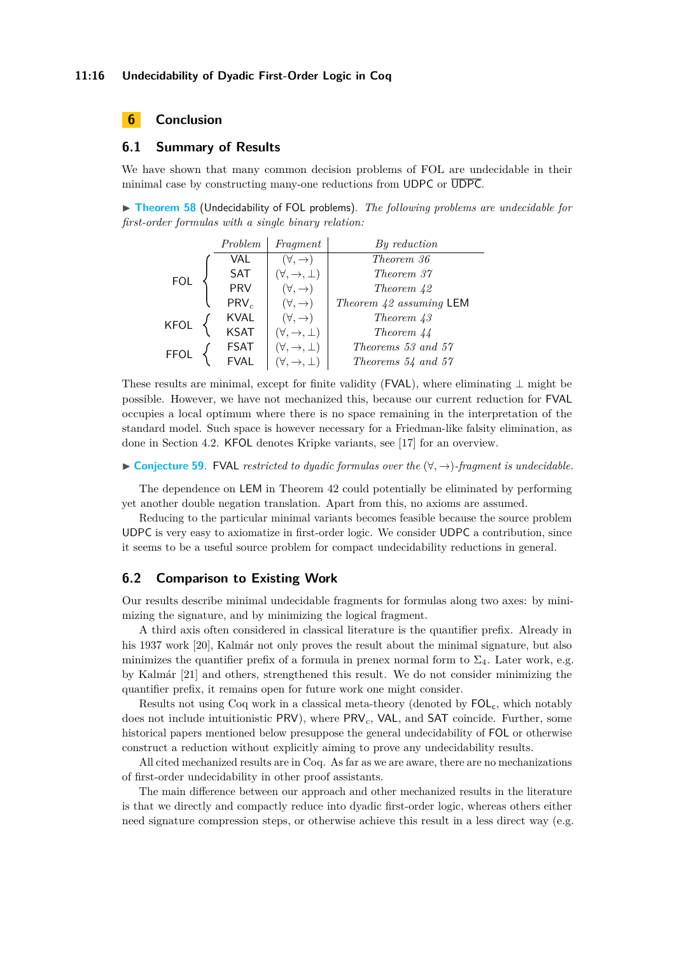# <span id="page-15-0"></span>**6 Conclusion**

# **6.1 Summary of Results**

We have shown that many common decision problems of FOL are undecidable in their minimal case by constructing many-one reductions from UDPC or  $\overline{UDPC}$ .

▶ **[Theorem 58](https://www.ps.uni-saarland.de/extras/fol-dyadic/website/Undecidability.FOL.minFOL_undec.html)** (Undecidability of FOL problems). *The following problems are undecidable for first-order formulas with a single binary relation:*

|             | Problem     | Fragment                       | $By \; reduction$         |
|-------------|-------------|--------------------------------|---------------------------|
|             | VAL         | $(\forall, \rightarrow)$       | Theorem 36                |
| <b>FOL</b>  | <b>SAT</b>  | $(\forall, \rightarrow, \bot)$ | Theorem 37                |
|             | <b>PRV</b>  | $(\forall, \rightarrow)$       | Theorem 42                |
|             | $PRV_c$     | $(\forall, \rightarrow)$       | Theorem $42$ assuming LEM |
| <b>KFOL</b> | <b>KVAL</b> | $(\forall, \rightarrow)$       | Theorem 43                |
|             | <b>KSAT</b> | $(\forall, \rightarrow, \bot)$ | Theorem 44                |
| <b>FFOL</b> | <b>FSAT</b> | $(\forall, \rightarrow, \bot)$ | Theorems 53 and 57        |
|             |             | $(\forall, \rightarrow, \bot)$ | Theorems $54$ and $57$    |

These results are minimal, except for finite validity (FVAL), where eliminating  $\perp$  might be possible. However, we have not mechanized this, because our current reduction for FVAL occupies a local optimum where there is no space remaining in the interpretation of the standard model. Such space is however necessary for a Friedman-like falsity elimination, as done in Section [4.2.](#page-8-2) KFOL denotes Kripke variants, see [\[17\]](#page-18-17) for an overview.

▶ **[Conjecture 59](https://www.ps.uni-saarland.de/extras/fol-dyadic/website/Undecidability.FOL.minFOL_undec.html#minFiniteValidityConjecture)**. FVAL *restricted to dyadic formulas over the* (∀*,* →)*-fragment is undecidable.*

The dependence on LEM in Theorem [42](#page-11-3) could potentially be eliminated by performing yet another double negation translation. Apart from this, no axioms are assumed.

Reducing to the particular minimal variants becomes feasible because the source problem UDPC is very easy to axiomatize in first-order logic. We consider UDPC a contribution, since it seems to be a useful source problem for compact undecidability reductions in general.

# **6.2 Comparison to Existing Work**

Our results describe minimal undecidable fragments for formulas along two axes: by minimizing the signature, and by minimizing the logical fragment.

A third axis often considered in classical literature is the quantifier prefix. Already in his 1937 work [\[20\]](#page-18-1), Kalmár not only proves the result about the minimal signature, but also minimizes the quantifier prefix of a formula in prenex normal form to  $\Sigma_4$ . Later work, e.g. by Kalmár [\[21\]](#page-18-6) and others, strengthened this result. We do not consider minimizing the quantifier prefix, it remains open for future work one might consider.

Results not using Coq work in a classical meta-theory (denoted by  $FOL_c$ , which notably does not include intuitionistic PRV), where PRV*c*, VAL, and SAT coincide. Further, some historical papers mentioned below presuppose the general undecidability of FOL or otherwise construct a reduction without explicitly aiming to prove any undecidability results.

All cited mechanized results are in Coq. As far as we are aware, there are no mechanizations of first-order undecidability in other proof assistants.

The main difference between our approach and other mechanized results in the literature is that we directly and compactly reduce into dyadic first-order logic, whereas others either need signature compression steps, or otherwise achieve this result in a less direct way (e.g.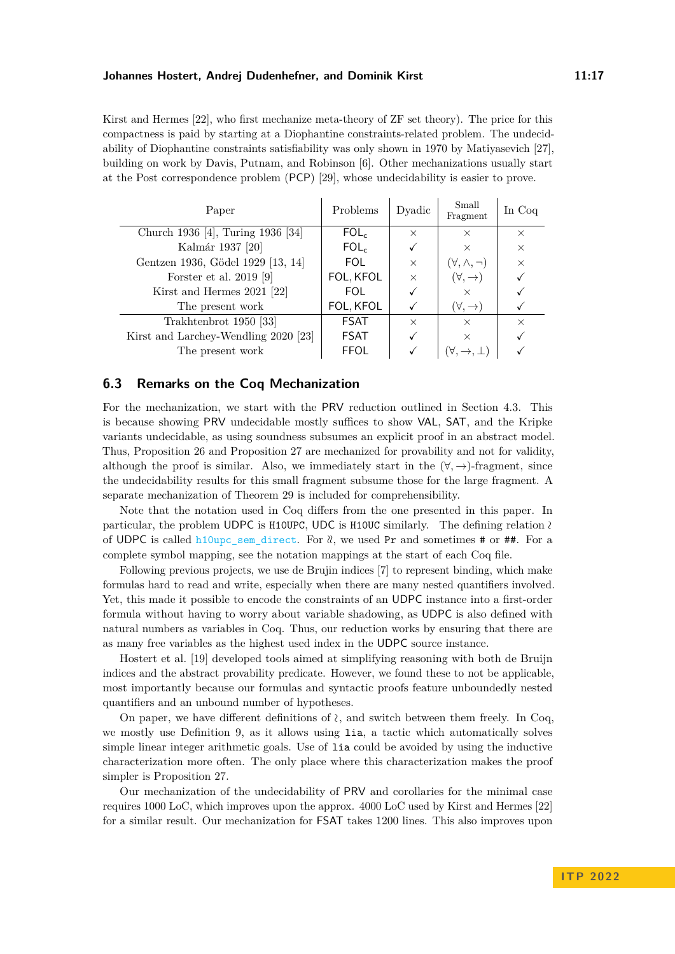Kirst and Hermes [\[22\]](#page-18-10), who first mechanize meta-theory of ZF set theory). The price for this compactness is paid by starting at a Diophantine constraints-related problem. The undecidability of Diophantine constraints satisfiability was only shown in 1970 by Matiyasevich [\[27\]](#page-18-13), building on work by Davis, Putnam, and Robinson [\[6\]](#page-17-9). Other mechanizations usually start at the Post correspondence problem (PCP) [\[29\]](#page-18-18), whose undecidability is easier to prove.

| Paper                                | Problems         | Dyadic   | Small<br>Fragment         | In Coq   |
|--------------------------------------|------------------|----------|---------------------------|----------|
| Church 1936 [4], Turing 1936 [34]    | FOL <sub>c</sub> | $\times$ | $\times$                  | $\times$ |
| Kalmár 1937 [20]                     | FOL <sub>c</sub> |          | $\times$                  | $\times$ |
| Gentzen 1936, Gödel 1929 [13, 14]    | FOL.             | $\times$ | $(\forall, \wedge, \neg)$ | $\times$ |
| Forster et al. 2019 [9]              | FOL, KFOL        | $\times$ | $(\forall, \rightarrow)$  |          |
| Kirst and Hermes 2021 [22]           | FOL.             |          | $\times$                  |          |
| The present work                     | FOL, KFOL        |          | $(\forall, \rightarrow)$  |          |
| Trakhtenbrot 1950 [33]               | <b>FSAT</b>      | $\times$ | $\times$                  | $\times$ |
| Kirst and Larchey-Wendling 2020 [23] | <b>FSAT</b>      |          | $\times$                  |          |
| The present work                     | <b>FFOL</b>      |          |                           |          |

# **6.3 Remarks on the Coq Mechanization**

For the mechanization, we start with the PRV reduction outlined in Section [4.3.](#page-10-2) This is because showing PRV undecidable mostly suffices to show VAL, SAT, and the Kripke variants undecidable, as using soundness subsumes an explicit proof in an abstract model. Thus, Proposition [26](#page-7-2) and Proposition [27](#page-7-3) are mechanized for provability and not for validity, although the proof is similar. Also, we immediately start in the  $(\forall, \rightarrow)$ -fragment, since the undecidability results for this small fragment subsume those for the large fragment. A separate mechanization of Theorem [29](#page-8-1) is included for comprehensibility.

Note that the notation used in Coq differs from the one presented in this paper. In particular, the problem UDPC is H10UPC, UDC is H10UC similarly. The defining relation <sup>∼</sup> of UDPC is called h10upc sem direct. For  $\⊂>l$ , we used Pr and sometimes # or ##. For a complete symbol mapping, see the notation mappings at the start of each Coq file.

Following previous projects, we use de Brujin indices [\[7\]](#page-17-12) to represent binding, which make formulas hard to read and write, especially when there are many nested quantifiers involved. Yet, this made it possible to encode the constraints of an UDPC instance into a first-order formula without having to worry about variable shadowing, as UDPC is also defined with natural numbers as variables in Coq. Thus, our reduction works by ensuring that there are as many free variables as the highest used index in the UDPC source instance.

Hostert et al. [\[19\]](#page-18-19) developed tools aimed at simplifying reasoning with both de Bruijn indices and the abstract provability predicate. However, we found these to not be applicable, most importantly because our formulas and syntactic proofs feature unboundedly nested quantifiers and an unbound number of hypotheses.

On paper, we have different definitions of <sup>∼</sup>, and switch between them freely. In Coq, we mostly use Definition [9,](#page-4-3) as it allows using lia, a tactic which automatically solves simple linear integer arithmetic goals. Use of lia could be avoided by using the inductive characterization more often. The only place where this characterization makes the proof simpler is Proposition [27.](#page-7-3)

Our mechanization of the undecidability of PRV and corollaries for the minimal case requires 1000 LoC, which improves upon the approx. 4000 LoC used by Kirst and Hermes [\[22\]](#page-18-10) for a similar result. Our mechanization for FSAT takes 1200 lines. This also improves upon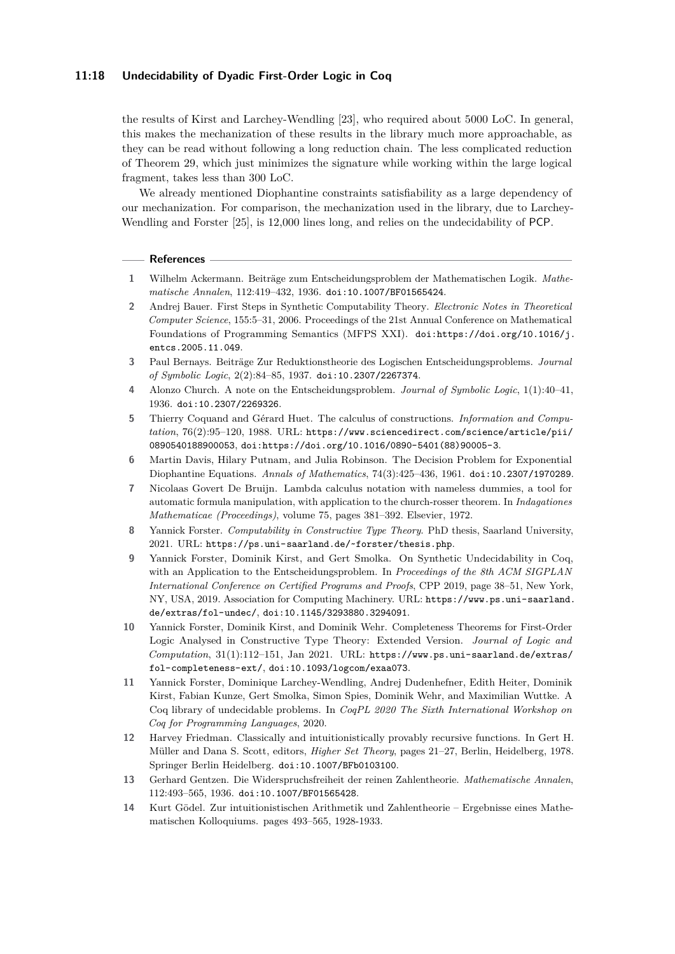## **11:18 Undecidability of Dyadic First-Order Logic in Coq**

the results of Kirst and Larchey-Wendling [\[23\]](#page-18-11), who required about 5000 LoC. In general, this makes the mechanization of these results in the library much more approachable, as they can be read without following a long reduction chain. The less complicated reduction of Theorem [29,](#page-8-1) which just minimizes the signature while working within the large logical fragment, takes less than 300 LoC.

We already mentioned Diophantine constraints satisfiability as a large dependency of our mechanization. For comparison, the mechanization used in the library, due to Larchey-Wendling and Forster [\[25\]](#page-18-12), is 12,000 lines long, and relies on the undecidability of PCP.

#### **References**

- <span id="page-17-2"></span>**1** Wilhelm Ackermann. Beiträge zum Entscheidungsproblem der Mathematischen Logik. *Mathematische Annalen*, 112:419–432, 1936. [doi:10.1007/BF01565424](https://doi.org/10.1007/BF01565424).
- <span id="page-17-7"></span>**2** Andrej Bauer. First Steps in Synthetic Computability Theory. *Electronic Notes in Theoretical Computer Science*, 155:5–31, 2006. Proceedings of the 21st Annual Conference on Mathematical Foundations of Programming Semantics (MFPS XXI). [doi:https://doi.org/10.1016/j.](https://doi.org/https://doi.org/10.1016/j.entcs.2005.11.049) [entcs.2005.11.049](https://doi.org/https://doi.org/10.1016/j.entcs.2005.11.049).
- <span id="page-17-0"></span>**3** Paul Bernays. Beiträge Zur Reduktionstheorie des Logischen Entscheidungsproblems. *Journal of Symbolic Logic*, 2(2):84–85, 1937. [doi:10.2307/2267374](https://doi.org/10.2307/2267374).
- <span id="page-17-1"></span>**4** Alonzo Church. A note on the Entscheidungsproblem. *Journal of Symbolic Logic*, 1(1):40–41, 1936. [doi:10.2307/2269326](https://doi.org/10.2307/2269326).
- <span id="page-17-10"></span>**5** Thierry Coquand and Gérard Huet. The calculus of constructions. *Information and Computation*, 76(2):95–120, 1988. URL: [https://www.sciencedirect.com/science/article/pii/](https://www.sciencedirect.com/science/article/pii/0890540188900053) [0890540188900053](https://www.sciencedirect.com/science/article/pii/0890540188900053), [doi:https://doi.org/10.1016/0890-5401\(88\)90005-3](https://doi.org/https://doi.org/10.1016/0890-5401(88)90005-3).
- <span id="page-17-9"></span>**6** Martin Davis, Hilary Putnam, and Julia Robinson. The Decision Problem for Exponential Diophantine Equations. *Annals of Mathematics*, 74(3):425–436, 1961. [doi:10.2307/1970289](https://doi.org/10.2307/1970289).
- <span id="page-17-12"></span>**7** Nicolaas Govert De Bruijn. Lambda calculus notation with nameless dummies, a tool for automatic formula manipulation, with application to the church-rosser theorem. In *Indagationes Mathematicae (Proceedings)*, volume 75, pages 381–392. Elsevier, 1972.
- <span id="page-17-6"></span>**8** Yannick Forster. *Computability in Constructive Type Theory*. PhD thesis, Saarland University, 2021. URL: <https://ps.uni-saarland.de/~forster/thesis.php>.
- <span id="page-17-5"></span>**9** Yannick Forster, Dominik Kirst, and Gert Smolka. On Synthetic Undecidability in Coq, with an Application to the Entscheidungsproblem. In *Proceedings of the 8th ACM SIGPLAN International Conference on Certified Programs and Proofs*, CPP 2019, page 38–51, New York, NY, USA, 2019. Association for Computing Machinery. URL: [https://www.ps.uni-saarland.](https://www.ps.uni-saarland.de/extras/fol-undec/) [de/extras/fol-undec/](https://www.ps.uni-saarland.de/extras/fol-undec/), [doi:10.1145/3293880.3294091](https://doi.org/10.1145/3293880.3294091).
- <span id="page-17-11"></span>**10** Yannick Forster, Dominik Kirst, and Dominik Wehr. Completeness Theorems for First-Order Logic Analysed in Constructive Type Theory: Extended Version. *Journal of Logic and Computation*, 31(1):112–151, Jan 2021. URL: [https://www.ps.uni-saarland.de/extras/](https://www.ps.uni-saarland.de/extras/fol-completeness-ext/) [fol-completeness-ext/](https://www.ps.uni-saarland.de/extras/fol-completeness-ext/), [doi:10.1093/logcom/exaa073](https://doi.org/10.1093/logcom/exaa073).
- <span id="page-17-8"></span>**11** Yannick Forster, Dominique Larchey-Wendling, Andrej Dudenhefner, Edith Heiter, Dominik Kirst, Fabian Kunze, Gert Smolka, Simon Spies, Dominik Wehr, and Maximilian Wuttke. A Coq library of undecidable problems. In *CoqPL 2020 The Sixth International Workshop on Coq for Programming Languages*, 2020.
- <span id="page-17-13"></span>**12** Harvey Friedman. Classically and intuitionistically provably recursive functions. In Gert H. Müller and Dana S. Scott, editors, *Higher Set Theory*, pages 21–27, Berlin, Heidelberg, 1978. Springer Berlin Heidelberg. [doi:10.1007/BFb0103100](https://doi.org/10.1007/BFb0103100).
- <span id="page-17-4"></span>**13** Gerhard Gentzen. Die Widerspruchsfreiheit der reinen Zahlentheorie. *Mathematische Annalen*, 112:493–565, 1936. [doi:10.1007/BF01565428](https://doi.org/10.1007/BF01565428).
- <span id="page-17-3"></span>**14** Kurt Gödel. Zur intuitionistischen Arithmetik und Zahlentheorie – Ergebnisse eines Mathematischen Kolloquiums. pages 493–565, 1928-1933.